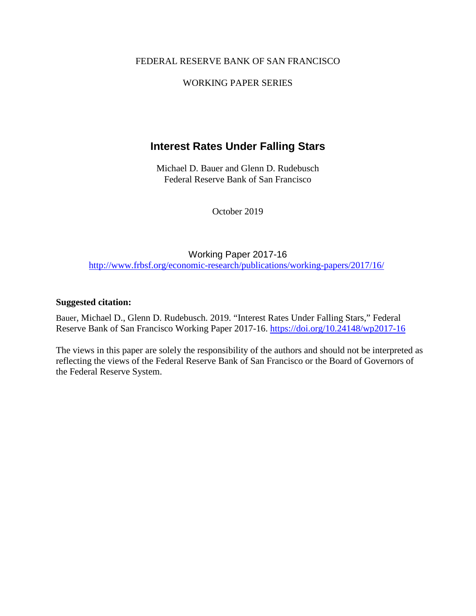#### FEDERAL RESERVE BANK OF SAN FRANCISCO

#### WORKING PAPER SERIES

# **Interest Rates Under Falling Stars**

Michael D. Bauer and Glenn D. Rudebusch Federal Reserve Bank of San Francisco

October 2019

Working Paper 2017-16 <http://www.frbsf.org/economic-research/publications/working-papers/2017/16/>

#### **Suggested citation:**

Bauer, Michael D., Glenn D. Rudebusch. 2019. "Interest Rates Under Falling Stars," Federal Reserve Bank of San Francisco Working Paper 2017-16.<https://doi.org/10.24148/wp2017-16>

The views in this paper are solely the responsibility of the authors and should not be interpreted as reflecting the views of the Federal Reserve Bank of San Francisco or the Board of Governors of the Federal Reserve System.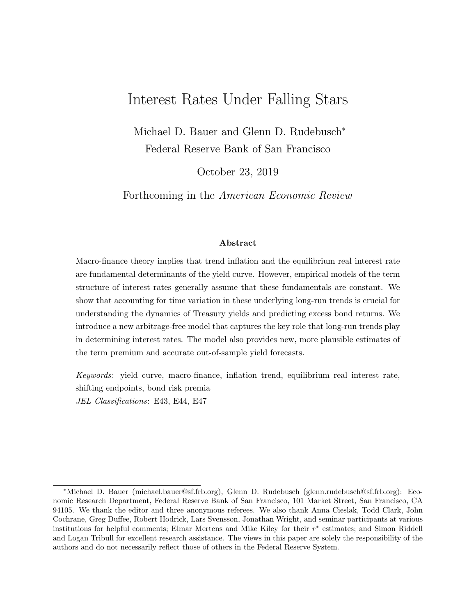# Interest Rates Under Falling Stars

Michael D. Bauer and Glenn D. Rudebusch<sup>∗</sup> Federal Reserve Bank of San Francisco

October 23, 2019

Forthcoming in the American Economic Review

#### Abstract

Macro-finance theory implies that trend inflation and the equilibrium real interest rate are fundamental determinants of the yield curve. However, empirical models of the term structure of interest rates generally assume that these fundamentals are constant. We show that accounting for time variation in these underlying long-run trends is crucial for understanding the dynamics of Treasury yields and predicting excess bond returns. We introduce a new arbitrage-free model that captures the key role that long-run trends play in determining interest rates. The model also provides new, more plausible estimates of the term premium and accurate out-of-sample yield forecasts.

Keywords: yield curve, macro-finance, inflation trend, equilibrium real interest rate, shifting endpoints, bond risk premia JEL Classifications: E43, E44, E47

<sup>∗</sup>Michael D. Bauer (michael.bauer@sf.frb.org), Glenn D. Rudebusch (glenn.rudebusch@sf.frb.org): Economic Research Department, Federal Reserve Bank of San Francisco, 101 Market Street, San Francisco, CA 94105. We thank the editor and three anonymous referees. We also thank Anna Cieslak, Todd Clark, John Cochrane, Greg Duffee, Robert Hodrick, Lars Svensson, Jonathan Wright, and seminar participants at various institutions for helpful comments; Elmar Mertens and Mike Kiley for their r<sup>\*</sup> estimates; and Simon Riddell and Logan Tribull for excellent research assistance. The views in this paper are solely the responsibility of the authors and do not necessarily reflect those of others in the Federal Reserve System.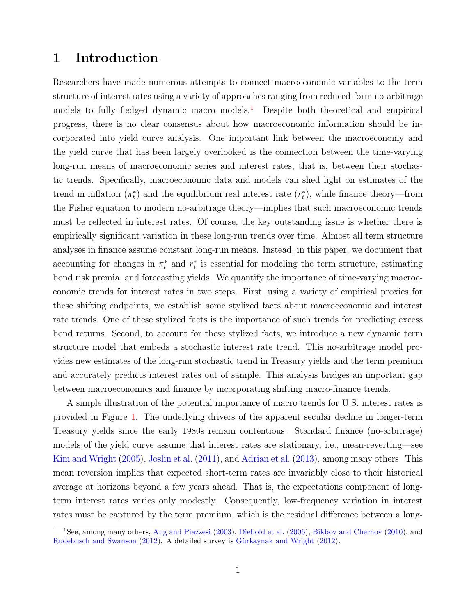## 1 Introduction

Researchers have made numerous attempts to connect macroeconomic variables to the term structure of interest rates using a variety of approaches ranging from reduced-form no-arbitrage models to fully fledged dynamic macro models.<sup>[1](#page-2-0)</sup> Despite both theoretical and empirical progress, there is no clear consensus about how macroeconomic information should be incorporated into yield curve analysis. One important link between the macroeconomy and the yield curve that has been largely overlooked is the connection between the time-varying long-run means of macroeconomic series and interest rates, that is, between their stochastic trends. Specifically, macroeconomic data and models can shed light on estimates of the trend in inflation  $(\pi_t^*)$  and the equilibrium real interest rate  $(r_t^*)$ , while finance theory—from the Fisher equation to modern no-arbitrage theory—implies that such macroeconomic trends must be reflected in interest rates. Of course, the key outstanding issue is whether there is empirically significant variation in these long-run trends over time. Almost all term structure analyses in finance assume constant long-run means. Instead, in this paper, we document that accounting for changes in  $\pi_t^*$  and  $r_t^*$  is essential for modeling the term structure, estimating bond risk premia, and forecasting yields. We quantify the importance of time-varying macroeconomic trends for interest rates in two steps. First, using a variety of empirical proxies for these shifting endpoints, we establish some stylized facts about macroeconomic and interest rate trends. One of these stylized facts is the importance of such trends for predicting excess bond returns. Second, to account for these stylized facts, we introduce a new dynamic term structure model that embeds a stochastic interest rate trend. This no-arbitrage model provides new estimates of the long-run stochastic trend in Treasury yields and the term premium and accurately predicts interest rates out of sample. This analysis bridges an important gap between macroeconomics and finance by incorporating shifting macro-finance trends.

A simple illustration of the potential importance of macro trends for U.S. interest rates is provided in Figure [1.](#page-45-0) The underlying drivers of the apparent secular decline in longer-term Treasury yields since the early 1980s remain contentious. Standard finance (no-arbitrage) models of the yield curve assume that interest rates are stationary, i.e., mean-reverting—see [Kim and Wright](#page-33-0) [\(2005\)](#page-33-0), [Joslin et al.](#page-33-1) [\(2011\)](#page-33-1), and [Adrian et al.](#page-28-0) [\(2013\)](#page-28-0), among many others. This mean reversion implies that expected short-term rates are invariably close to their historical average at horizons beyond a few years ahead. That is, the expectations component of longterm interest rates varies only modestly. Consequently, low-frequency variation in interest rates must be captured by the term premium, which is the residual difference between a long-

<span id="page-2-0"></span><sup>&</sup>lt;sup>1</sup>See, among many others, [Ang and Piazzesi](#page-29-0) [\(2003\)](#page-29-0), [Diebold et al.](#page-31-0) [\(2006\)](#page-31-0), [Bikbov and Chernov](#page-29-1) [\(2010\)](#page-29-1), and [Rudebusch and Swanson](#page-35-0) [\(2012\)](#page-32-0). A detailed survey is Gürkaynak and Wright (2012).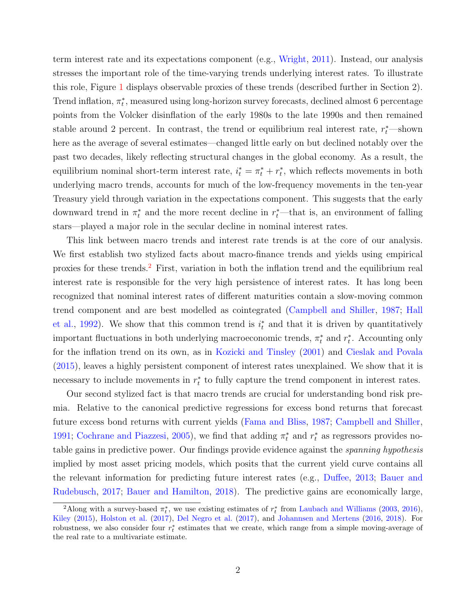term interest rate and its expectations component (e.g., [Wright,](#page-35-1) [2011\)](#page-35-1). Instead, our analysis stresses the important role of the time-varying trends underlying interest rates. To illustrate this role, Figure [1](#page-45-0) displays observable proxies of these trends (described further in Section 2). Trend inflation,  $\pi_t^*$ , measured using long-horizon survey forecasts, declined almost 6 percentage points from the Volcker disinflation of the early 1980s to the late 1990s and then remained stable around 2 percent. In contrast, the trend or equilibrium real interest rate,  $r_t^*$ —shown here as the average of several estimates—changed little early on but declined notably over the past two decades, likely reflecting structural changes in the global economy. As a result, the equilibrium nominal short-term interest rate,  $i_t^* = \pi_t^* + r_t^*$ , which reflects movements in both underlying macro trends, accounts for much of the low-frequency movements in the ten-year Treasury yield through variation in the expectations component. This suggests that the early downward trend in  $\pi_t^*$  and the more recent decline in  $r_t^*$ —that is, an environment of falling stars—played a major role in the secular decline in nominal interest rates.

This link between macro trends and interest rate trends is at the core of our analysis. We first establish two stylized facts about macro-finance trends and yields using empirical proxies for these trends.[2](#page-3-0) First, variation in both the inflation trend and the equilibrium real interest rate is responsible for the very high persistence of interest rates. It has long been recognized that nominal interest rates of different maturities contain a slow-moving common trend component and are best modelled as cointegrated [\(Campbell and Shiller,](#page-30-0) [1987;](#page-30-0) [Hall](#page-32-1) [et al.,](#page-32-1) [1992\)](#page-32-1). We show that this common trend is  $i_t^*$  and that it is driven by quantitatively important fluctuations in both underlying macroeconomic trends,  $\pi_t^*$  and  $r_t^*$ . Accounting only for the inflation trend on its own, as in [Kozicki and Tinsley](#page-33-2) [\(2001\)](#page-33-2) and [Cieslak and Povala](#page-30-1) [\(2015\)](#page-30-1), leaves a highly persistent component of interest rates unexplained. We show that it is necessary to include movements in  $r_t^*$  to fully capture the trend component in interest rates.

Our second stylized fact is that macro trends are crucial for understanding bond risk premia. Relative to the canonical predictive regressions for excess bond returns that forecast future excess bond returns with current yields [\(Fama and Bliss,](#page-31-1) [1987;](#page-31-1) [Campbell and Shiller,](#page-30-2) [1991;](#page-30-2) [Cochrane and Piazzesi,](#page-30-3) [2005\)](#page-30-3), we find that adding  $\pi_t^*$  and  $r_t^*$  as regressors provides notable gains in predictive power. Our findings provide evidence against the spanning hypothesis implied by most asset pricing models, which posits that the current yield curve contains all the relevant information for predicting future interest rates (e.g., [Duffee,](#page-31-2) [2013;](#page-31-2) [Bauer and](#page-29-2) [Rudebusch,](#page-29-2) [2017;](#page-29-2) [Bauer and Hamilton,](#page-29-3) [2018\)](#page-29-3). The predictive gains are economically large,

<span id="page-3-0"></span><sup>&</sup>lt;sup>2</sup>Along with a survey-based  $\pi_t^*$ , we use existing estimates of  $r_t^*$  from [Laubach and Williams](#page-34-0) [\(2003,](#page-34-0) [2016\)](#page-34-1), [Kiley](#page-33-3) [\(2015\)](#page-33-3), [Holston et al.](#page-32-2) [\(2017\)](#page-32-2), [Del Negro et al.](#page-31-3) [\(2017\)](#page-31-3), and [Johannsen and Mertens](#page-33-4) [\(2016,](#page-33-4) [2018\)](#page-33-5). For robustness, we also consider four  $r_t^*$  estimates that we create, which range from a simple moving-average of the real rate to a multivariate estimate.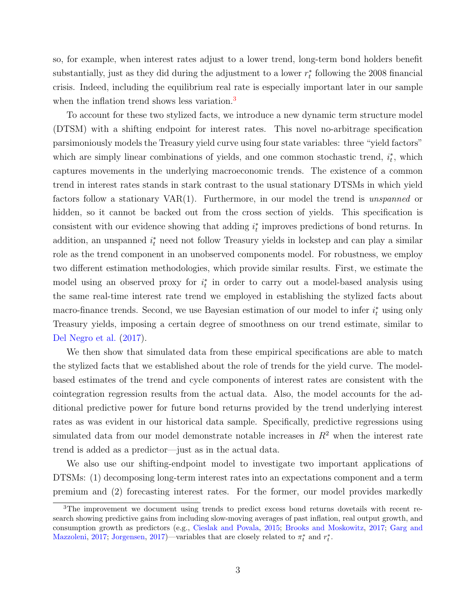so, for example, when interest rates adjust to a lower trend, long-term bond holders benefit substantially, just as they did during the adjustment to a lower  $r_t^*$  following the 2008 financial crisis. Indeed, including the equilibrium real rate is especially important later in our sample when the inflation trend shows less variation.<sup>[3](#page-4-0)</sup>

To account for these two stylized facts, we introduce a new dynamic term structure model (DTSM) with a shifting endpoint for interest rates. This novel no-arbitrage specification parsimoniously models the Treasury yield curve using four state variables: three "yield factors" which are simply linear combinations of yields, and one common stochastic trend,  $i_t^*$ , which captures movements in the underlying macroeconomic trends. The existence of a common trend in interest rates stands in stark contrast to the usual stationary DTSMs in which yield factors follow a stationary VAR(1). Furthermore, in our model the trend is unspanned or hidden, so it cannot be backed out from the cross section of yields. This specification is consistent with our evidence showing that adding  $i_t^*$  improves predictions of bond returns. In addition, an unspanned  $i_t^*$  need not follow Treasury yields in lockstep and can play a similar role as the trend component in an unobserved components model. For robustness, we employ two different estimation methodologies, which provide similar results. First, we estimate the model using an observed proxy for  $i_t^*$  in order to carry out a model-based analysis using the same real-time interest rate trend we employed in establishing the stylized facts about macro-finance trends. Second, we use Bayesian estimation of our model to infer  $i_t^*$  using only Treasury yields, imposing a certain degree of smoothness on our trend estimate, similar to [Del Negro et al.](#page-31-3) [\(2017\)](#page-31-3).

We then show that simulated data from these empirical specifications are able to match the stylized facts that we established about the role of trends for the yield curve. The modelbased estimates of the trend and cycle components of interest rates are consistent with the cointegration regression results from the actual data. Also, the model accounts for the additional predictive power for future bond returns provided by the trend underlying interest rates as was evident in our historical data sample. Specifically, predictive regressions using simulated data from our model demonstrate notable increases in  $R<sup>2</sup>$  when the interest rate trend is added as a predictor—just as in the actual data.

We also use our shifting-endpoint model to investigate two important applications of DTSMs: (1) decomposing long-term interest rates into an expectations component and a term premium and (2) forecasting interest rates. For the former, our model provides markedly

<span id="page-4-0"></span><sup>&</sup>lt;sup>3</sup>The improvement we document using trends to predict excess bond returns dovetails with recent research showing predictive gains from including slow-moving averages of past inflation, real output growth, and consumption growth as predictors (e.g., [Cieslak and Povala,](#page-30-1) [2015;](#page-30-1) [Brooks and Moskowitz,](#page-29-4) [2017;](#page-29-4) [Garg and](#page-32-3) [Mazzoleni,](#page-32-3) [2017;](#page-32-3) [Jorgensen,](#page-33-6) [2017\)](#page-33-6)—variables that are closely related to  $\pi_t^*$  and  $r_t^*$ .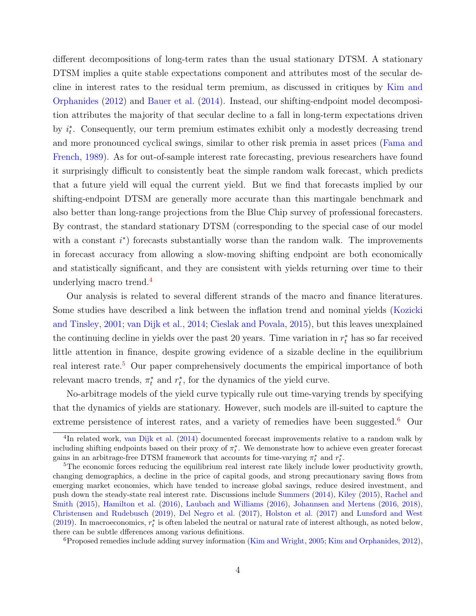different decompositions of long-term rates than the usual stationary DTSM. A stationary DTSM implies a quite stable expectations component and attributes most of the secular decline in interest rates to the residual term premium, as discussed in critiques by [Kim and](#page-33-7) [Orphanides](#page-33-7) [\(2012\)](#page-33-7) and [Bauer et al.](#page-29-5) [\(2014\)](#page-29-5). Instead, our shifting-endpoint model decomposition attributes the majority of that secular decline to a fall in long-term expectations driven by  $i_t^*$ . Consequently, our term premium estimates exhibit only a modestly decreasing trend and more pronounced cyclical swings, similar to other risk premia in asset prices [\(Fama and](#page-31-4) [French,](#page-31-4) [1989\)](#page-31-4). As for out-of-sample interest rate forecasting, previous researchers have found it surprisingly difficult to consistently beat the simple random walk forecast, which predicts that a future yield will equal the current yield. But we find that forecasts implied by our shifting-endpoint DTSM are generally more accurate than this martingale benchmark and also better than long-range projections from the Blue Chip survey of professional forecasters. By contrast, the standard stationary DTSM (corresponding to the special case of our model with a constant  $i^*$ ) forecasts substantially worse than the random walk. The improvements in forecast accuracy from allowing a slow-moving shifting endpoint are both economically and statistically significant, and they are consistent with yields returning over time to their underlying macro trend.[4](#page-5-0)

Our analysis is related to several different strands of the macro and finance literatures. Some studies have described a link between the inflation trend and nominal yields [\(Kozicki](#page-33-2) [and Tinsley,](#page-33-2) [2001;](#page-33-2) [van Dijk et al.,](#page-35-2) [2014;](#page-35-2) [Cieslak and Povala,](#page-30-1) [2015\)](#page-30-1), but this leaves unexplained the continuing decline in yields over the past 20 years. Time variation in  $r_t^*$  has so far received little attention in finance, despite growing evidence of a sizable decline in the equilibrium real interest rate.<sup>[5](#page-5-1)</sup> Our paper comprehensively documents the empirical importance of both relevant macro trends,  $\pi_t^*$  and  $r_t^*$ , for the dynamics of the yield curve.

No-arbitrage models of the yield curve typically rule out time-varying trends by specifying that the dynamics of yields are stationary. However, such models are ill-suited to capture the extreme persistence of interest rates, and a variety of remedies have been suggested.<sup>[6](#page-5-2)</sup> Our

<span id="page-5-0"></span><sup>&</sup>lt;sup>4</sup>In related work, [van Dijk et al.](#page-35-2) [\(2014\)](#page-35-2) documented forecast improvements relative to a random walk by including shifting endpoints based on their proxy of  $\pi_t^*$ . We demonstrate how to achieve even greater forecast gains in an arbitrage-free DTSM framework that accounts for time-varying  $\pi_t^*$  and  $r_t^*$ .

<span id="page-5-1"></span> $5$ The economic forces reducing the equilibrium real interest rate likely include lower productivity growth, changing demographics, a decline in the price of capital goods, and strong precautionary saving flows from emerging market economies, which have tended to increase global savings, reduce desired investment, and push down the steady-state real interest rate. Discussions include [Summers](#page-35-3) [\(2014\)](#page-35-3), [Kiley](#page-33-3) [\(2015\)](#page-33-3), [Rachel and](#page-34-2) [Smith](#page-34-2) [\(2015\)](#page-34-2), [Hamilton et al.](#page-32-4) [\(2016\)](#page-32-4), [Laubach and Williams](#page-34-1) [\(2016\)](#page-34-1), [Johannsen and Mertens](#page-33-4) [\(2016,](#page-33-4) [2018\)](#page-33-5), [Christensen and Rudebusch](#page-30-4) [\(2019\)](#page-30-4), [Del Negro et al.](#page-31-3) [\(2017\)](#page-31-3), [Holston et al.](#page-32-2) [\(2017\)](#page-32-2) and [Lunsford and West](#page-34-3) [\(2019\)](#page-34-3). In macroeconomics,  $r_t^*$  is often labeled the neutral or natural rate of interest although, as noted below, there can be subtle dfferences among various definitions.

<span id="page-5-2"></span><sup>6</sup>Proposed remedies include adding survey information [\(Kim and Wright,](#page-33-0) [2005;](#page-33-0) [Kim and Orphanides,](#page-33-7) [2012\)](#page-33-7),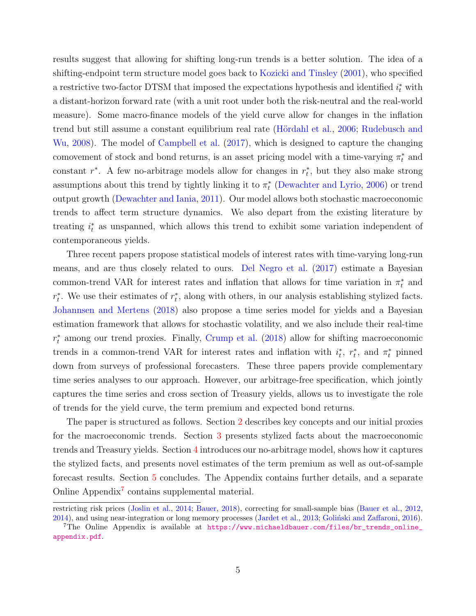results suggest that allowing for shifting long-run trends is a better solution. The idea of a shifting-endpoint term structure model goes back to [Kozicki and Tinsley](#page-33-2) [\(2001\)](#page-33-2), who specified a restrictive two-factor DTSM that imposed the expectations hypothesis and identified  $i_t^*$  with a distant-horizon forward rate (with a unit root under both the risk-neutral and the real-world measure). Some macro-finance models of the yield curve allow for changes in the inflation trend but still assume a constant equilibrium real rate (Hördahl et al., [2006;](#page-32-5) [Rudebusch and](#page-35-4) [Wu,](#page-35-4) [2008\)](#page-35-4). The model of [Campbell et al.](#page-30-5) [\(2017\)](#page-30-5), which is designed to capture the changing comovement of stock and bond returns, is an asset pricing model with a time-varying  $\pi_t^*$  and constant  $r^*$ . A few no-arbitrage models allow for changes in  $r_t^*$ , but they also make strong assumptions about this trend by tightly linking it to  $\pi_t^*$  [\(Dewachter and Lyrio,](#page-31-5) [2006\)](#page-31-5) or trend output growth [\(Dewachter and Iania,](#page-31-6) [2011\)](#page-31-6). Our model allows both stochastic macroeconomic trends to affect term structure dynamics. We also depart from the existing literature by treating  $i_t^*$  as unspanned, which allows this trend to exhibit some variation independent of contemporaneous yields.

Three recent papers propose statistical models of interest rates with time-varying long-run means, and are thus closely related to ours. [Del Negro et al.](#page-31-3) [\(2017\)](#page-31-3) estimate a Bayesian common-trend VAR for interest rates and inflation that allows for time variation in  $\pi_t^*$  and  $r_t^*$ . We use their estimates of  $r_t^*$ , along with others, in our analysis establishing stylized facts. [Johannsen and Mertens](#page-33-5) [\(2018\)](#page-33-5) also propose a time series model for yields and a Bayesian estimation framework that allows for stochastic volatility, and we also include their real-time  $r_t^*$  among our trend proxies. Finally, [Crump et al.](#page-30-6) [\(2018\)](#page-30-6) allow for shifting macroeconomic trends in a common-trend VAR for interest rates and inflation with  $i_t^*$ ,  $r_t^*$ , and  $\pi_t^*$  pinned down from surveys of professional forecasters. These three papers provide complementary time series analyses to our approach. However, our arbitrage-free specification, which jointly captures the time series and cross section of Treasury yields, allows us to investigate the role of trends for the yield curve, the term premium and expected bond returns.

The paper is structured as follows. Section [2](#page-7-0) describes key concepts and our initial proxies for the macroeconomic trends. Section [3](#page-10-0) presents stylized facts about the macroeconomic trends and Treasury yields. Section [4](#page-15-0) introduces our no-arbitrage model, shows how it captures the stylized facts, and presents novel estimates of the term premium as well as out-of-sample forecast results. Section [5](#page-28-1) concludes. The Appendix contains further details, and a separate Online Appendix<sup>[7](#page-6-0)</sup> contains supplemental material.

restricting risk prices [\(Joslin et al.,](#page-33-8) [2014;](#page-33-8) [Bauer,](#page-29-6) [2018\)](#page-29-6), correcting for small-sample bias [\(Bauer et al.,](#page-29-7) [2012,](#page-29-7) [2014\)](#page-29-5), and using near-integration or long memory processes [\(Jardet et al.,](#page-32-6) [2013;](#page-32-6) Goliński and Zaffaroni, [2016\)](#page-32-7).

<span id="page-6-0"></span><sup>7</sup>The Online Appendix is available at [https://www.michaeldbauer.com/files/br\\_trends\\_online\\_](https://www.michaeldbauer.com/files/br_trends_online_appendix.pdf) [appendix.pdf](https://www.michaeldbauer.com/files/br_trends_online_appendix.pdf).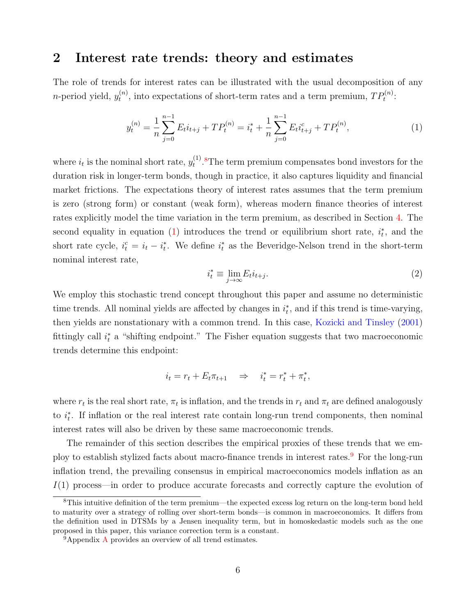## <span id="page-7-0"></span>2 Interest rate trends: theory and estimates

The role of trends for interest rates can be illustrated with the usual decomposition of any *n*-period yield,  $y_t^{(n)}$  $t_t^{(n)}$ , into expectations of short-term rates and a term premium,  $TP_t^{(n)}$ :

<span id="page-7-2"></span>
$$
y_t^{(n)} = \frac{1}{n} \sum_{j=0}^{n-1} E_t i_{t+j} + T P_t^{(n)} = i_t^* + \frac{1}{n} \sum_{j=0}^{n-1} E_t i_{t+j}^c + T P_t^{(n)},\tag{1}
$$

where  $i_t$  is the nominal short rate,  $y_t^{(1)}$  $t^{(1)}$ .<sup>[8](#page-7-1)</sup>The term premium compensates bond investors for the duration risk in longer-term bonds, though in practice, it also captures liquidity and financial market frictions. The expectations theory of interest rates assumes that the term premium is zero (strong form) or constant (weak form), whereas modern finance theories of interest rates explicitly model the time variation in the term premium, as described in Section [4.](#page-15-0) The second equality in equation [\(1\)](#page-7-2) introduces the trend or equilibrium short rate,  $i_t^*$ , and the short rate cycle,  $i_t^c = i_t - i_t^*$ . We define  $i_t^*$  as the Beveridge-Nelson trend in the short-term nominal interest rate,

<span id="page-7-4"></span>
$$
i_t^* \equiv \lim_{j \to \infty} E_t i_{t+j}.
$$
\n<sup>(2)</sup>

We employ this stochastic trend concept throughout this paper and assume no deterministic time trends. All nominal yields are affected by changes in  $i_t^*$ , and if this trend is time-varying, then yields are nonstationary with a common trend. In this case, [Kozicki and Tinsley](#page-33-2) [\(2001\)](#page-33-2) fittingly call  $i_t^*$  a "shifting endpoint." The Fisher equation suggests that two macroeconomic trends determine this endpoint:

$$
i_t = r_t + E_t \pi_{t+1} \quad \Rightarrow \quad i_t^* = r_t^* + \pi_t^*,
$$

where  $r_t$  is the real short rate,  $\pi_t$  is inflation, and the trends in  $r_t$  and  $\pi_t$  are defined analogously to  $i_t^*$ . If inflation or the real interest rate contain long-run trend components, then nominal interest rates will also be driven by these same macroeconomic trends.

The remainder of this section describes the empirical proxies of these trends that we em-ploy to establish stylized facts about macro-finance trends in interest rates.<sup>[9](#page-7-3)</sup> For the long-run inflation trend, the prevailing consensus in empirical macroeconomics models inflation as an I(1) process—in order to produce accurate forecasts and correctly capture the evolution of

<span id="page-7-1"></span><sup>8</sup>This intuitive definition of the term premium—the expected excess log return on the long-term bond held to maturity over a strategy of rolling over short-term bonds—is common in macroeconomics. It differs from the definition used in DTSMs by a Jensen inequality term, but in homoskedastic models such as the one proposed in this paper, this variance correction term is a constant.

<span id="page-7-3"></span><sup>&</sup>lt;sup>9</sup>[A](#page-36-0)ppendix A provides an overview of all trend estimates.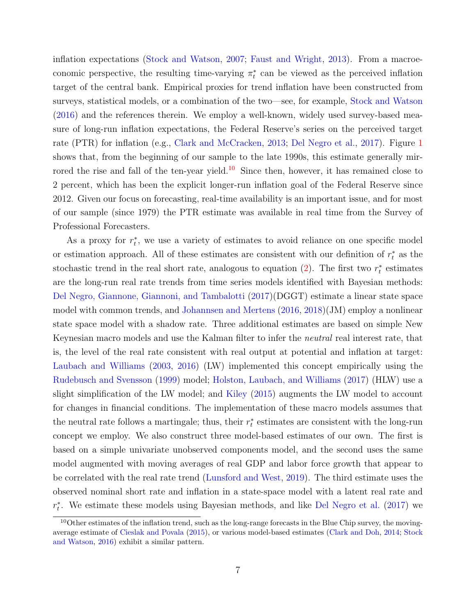inflation expectations [\(Stock and Watson,](#page-35-5) [2007;](#page-35-5) [Faust and Wright,](#page-31-7) [2013\)](#page-31-7). From a macroeconomic perspective, the resulting time-varying  $\pi_t^*$  can be viewed as the perceived inflation target of the central bank. Empirical proxies for trend inflation have been constructed from surveys, statistical models, or a combination of the two—see, for example, [Stock and Watson](#page-35-6) [\(2016\)](#page-35-6) and the references therein. We employ a well-known, widely used survey-based measure of long-run inflation expectations, the Federal Reserve's series on the perceived target rate (PTR) for inflation (e.g., [Clark and McCracken,](#page-30-7) [2013;](#page-30-7) [Del Negro et al.,](#page-31-3) [2017\)](#page-31-3). Figure [1](#page-45-0) shows that, from the beginning of our sample to the late 1990s, this estimate generally mir-rored the rise and fall of the ten-year yield.<sup>[10](#page-8-0)</sup> Since then, however, it has remained close to 2 percent, which has been the explicit longer-run inflation goal of the Federal Reserve since 2012. Given our focus on forecasting, real-time availability is an important issue, and for most of our sample (since 1979) the PTR estimate was available in real time from the Survey of Professional Forecasters.

As a proxy for  $r_t^*$ , we use a variety of estimates to avoid reliance on one specific model or estimation approach. All of these estimates are consistent with our definition of  $r_t^*$  as the stochastic trend in the real short rate, analogous to equation  $(2)$ . The first two  $r_t^*$  estimates are the long-run real rate trends from time series models identified with Bayesian methods: [Del Negro, Giannone, Giannoni, and Tambalotti](#page-31-3) [\(2017\)](#page-31-3)(DGGT) estimate a linear state space model with common trends, and [Johannsen and Mertens](#page-33-4) [\(2016,](#page-33-4) [2018\)](#page-33-5)(JM) employ a nonlinear state space model with a shadow rate. Three additional estimates are based on simple New Keynesian macro models and use the Kalman filter to infer the neutral real interest rate, that is, the level of the real rate consistent with real output at potential and inflation at target: [Laubach and Williams](#page-34-0) [\(2003,](#page-34-0) [2016\)](#page-34-1) (LW) implemented this concept empirically using the [Rudebusch and Svensson](#page-34-4) [\(1999\)](#page-34-4) model; [Holston, Laubach, and Williams](#page-32-2) [\(2017\)](#page-32-2) (HLW) use a slight simplification of the LW model; and [Kiley](#page-33-3) [\(2015\)](#page-33-3) augments the LW model to account for changes in financial conditions. The implementation of these macro models assumes that the neutral rate follows a martingale; thus, their  $r_t^*$  estimates are consistent with the long-run concept we employ. We also construct three model-based estimates of our own. The first is based on a simple univariate unobserved components model, and the second uses the same model augmented with moving averages of real GDP and labor force growth that appear to be correlated with the real rate trend [\(Lunsford and West,](#page-34-3) [2019\)](#page-34-3). The third estimate uses the observed nominal short rate and inflation in a state-space model with a latent real rate and  $r_t^*$ . We estimate these models using Bayesian methods, and like [Del Negro et al.](#page-31-3) [\(2017\)](#page-31-3) we

<span id="page-8-0"></span><sup>&</sup>lt;sup>10</sup>Other estimates of the inflation trend, such as the long-range forecasts in the Blue Chip survey, the movingaverage estimate of [Cieslak and Povala](#page-30-1) [\(2015\)](#page-30-1), or various model-based estimates [\(Clark and Doh,](#page-30-8) [2014;](#page-30-8) [Stock](#page-35-6) [and Watson,](#page-35-6) [2016\)](#page-35-6) exhibit a similar pattern.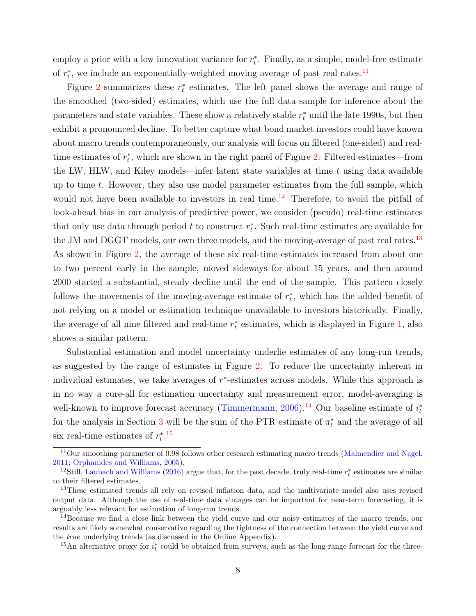employ a prior with a low innovation variance for  $r_t^*$ . Finally, as a simple, model-free estimate of  $r_t^*$ , we include an exponentially-weighted moving average of past real rates.<sup>[11](#page-9-0)</sup>

Figure [2](#page-46-0) summarizes these  $r_t^*$  estimates. The left panel shows the average and range of the smoothed (two-sided) estimates, which use the full data sample for inference about the parameters and state variables. These show a relatively stable  $r_t^*$  until the late 1990s, but then exhibit a pronounced decline. To better capture what bond market investors could have known about macro trends contemporaneously, our analysis will focus on filtered (one-sided) and realtime estimates of  $r_t^*$ , which are shown in the right panel of Figure [2.](#page-46-0) Filtered estimates—from the LW, HLW, and Kiley models—infer latent state variables at time  $t$  using data available up to time t. However, they also use model parameter estimates from the full sample, which would not have been available to investors in real time.<sup>[12](#page-9-1)</sup> Therefore, to avoid the pitfall of look-ahead bias in our analysis of predictive power, we consider (pseudo) real-time estimates that only use data through period  $t$  to construct  $r_t^*$ . Such real-time estimates are available for the JM and DGGT models, our own three models, and the moving-average of past real rates.<sup>[13](#page-9-2)</sup> As shown in Figure [2,](#page-46-0) the average of these six real-time estimates increased from about one to two percent early in the sample, moved sideways for about 15 years, and then around 2000 started a substantial, steady decline until the end of the sample. This pattern closely follows the movements of the moving-average estimate of  $r_t^*$ , which has the added benefit of not relying on a model or estimation technique unavailable to investors historically. Finally, the average of all nine filtered and real-time  $r_t^*$  estimates, which is displayed in Figure [1,](#page-45-0) also shows a similar pattern.

Substantial estimation and model uncertainty underlie estimates of any long-run trends, as suggested by the range of estimates in Figure [2.](#page-46-0) To reduce the uncertainty inherent in individual estimates, we take averages of  $r^*$ -estimates across models. While this approach is in no way a cure-all for estimation uncertainty and measurement error, model-averaging is well-known to improve forecast accuracy [\(Timmermann,](#page-35-7) [2006\)](#page-35-7).<sup>[14](#page-9-3)</sup> Our baseline estimate of  $i_t^*$ for the analysis in Section [3](#page-10-0) will be the sum of the PTR estimate of  $\pi_t^*$  and the average of all six real-time estimates of  $r_t^*$ .<sup>[15](#page-9-4)</sup>

<span id="page-9-0"></span><sup>&</sup>lt;sup>11</sup>Our smoothing parameter of 0.98 follows other research estimating macro trends [\(Malmendier and Nagel,](#page-34-5) [2011;](#page-34-5) [Orphanides and Williams,](#page-34-6) [2005\)](#page-34-6).

<span id="page-9-1"></span><sup>&</sup>lt;sup>12</sup>Still, [Laubach and Williams](#page-34-1) [\(2016\)](#page-34-1) argue that, for the past decade, truly real-time  $r_t^*$  estimates are similar to their filtered estimates.

<span id="page-9-2"></span><sup>&</sup>lt;sup>13</sup>These estimated trends all rely on revised inflation data, and the multivariate model also uses revised output data. Although the use of real-time data vintages can be important for near-term forecasting, it is arguably less relevant for estimation of long-run trends.

<span id="page-9-3"></span><sup>&</sup>lt;sup>14</sup>Because we find a close link between the yield curve and our noisy estimates of the macro trends, our results are likely somewhat conservative regarding the tightness of the connection between the yield curve and the true underlying trends (as discussed in the Online Appendix).

<span id="page-9-4"></span><sup>&</sup>lt;sup>15</sup>An alternative proxy for  $i_t^*$  could be obtained from surveys, such as the long-range forecast for the three-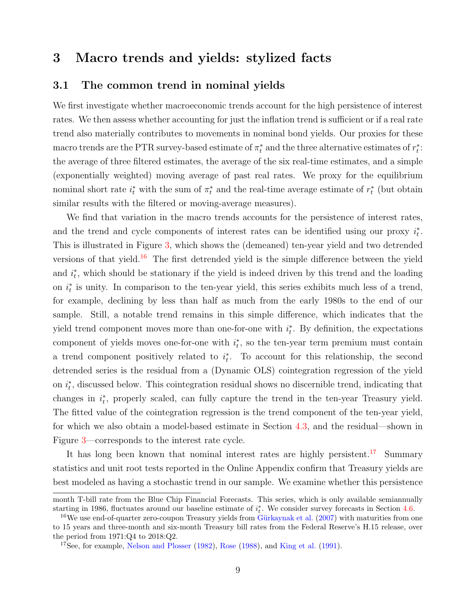## <span id="page-10-0"></span>3 Macro trends and yields: stylized facts

#### <span id="page-10-3"></span>3.1 The common trend in nominal yields

We first investigate whether macroeconomic trends account for the high persistence of interest rates. We then assess whether accounting for just the inflation trend is sufficient or if a real rate trend also materially contributes to movements in nominal bond yields. Our proxies for these macro trends are the PTR survey-based estimate of  $\pi_t^*$  and the three alternative estimates of  $r_t^*$ : the average of three filtered estimates, the average of the six real-time estimates, and a simple (exponentially weighted) moving average of past real rates. We proxy for the equilibrium nominal short rate  $i_t^*$  with the sum of  $\pi_t^*$  and the real-time average estimate of  $r_t^*$  (but obtain similar results with the filtered or moving-average measures).

We find that variation in the macro trends accounts for the persistence of interest rates, and the trend and cycle components of interest rates can be identified using our proxy  $i_t^*$ . This is illustrated in Figure [3,](#page-47-0) which shows the (demeaned) ten-year yield and two detrended versions of that yield.<sup>[16](#page-10-1)</sup> The first detrended yield is the simple difference between the yield and  $i_t^*$ , which should be stationary if the yield is indeed driven by this trend and the loading on  $i_t^*$  is unity. In comparison to the ten-year yield, this series exhibits much less of a trend, for example, declining by less than half as much from the early 1980s to the end of our sample. Still, a notable trend remains in this simple difference, which indicates that the yield trend component moves more than one-for-one with  $i_t^*$ . By definition, the expectations component of yields moves one-for-one with  $i_t^*$ , so the ten-year term premium must contain a trend component positively related to  $i_t^*$ . To account for this relationship, the second detrended series is the residual from a (Dynamic OLS) cointegration regression of the yield on  $i_t^*$ , discussed below. This cointegration residual shows no discernible trend, indicating that changes in  $i_t^*$ , properly scaled, can fully capture the trend in the ten-year Treasury yield. The fitted value of the cointegration regression is the trend component of the ten-year yield, for which we also obtain a model-based estimate in Section [4.3,](#page-20-0) and the residual—shown in Figure [3—](#page-47-0)corresponds to the interest rate cycle.

It has long been known that nominal interest rates are highly persistent.<sup>[17](#page-10-2)</sup> Summary statistics and unit root tests reported in the Online Appendix confirm that Treasury yields are best modeled as having a stochastic trend in our sample. We examine whether this persistence

month T-bill rate from the Blue Chip Financial Forecasts. This series, which is only available semiannually starting in 1986, fluctuates around our baseline estimate of  $i_t^*$ . We consider survey forecasts in Section [4.6.](#page-26-0)

<span id="page-10-1"></span> $16\,\text{We}$  use end-of-quarter zero-coupon Treasury yields from Gürkaynak et al. [\(2007\)](#page-32-8) with maturities from one to 15 years and three-month and six-month Treasury bill rates from the Federal Reserve's H.15 release, over the period from 1971:Q4 to 2018:Q2.

<span id="page-10-2"></span><sup>17</sup>See, for example, [Nelson and Plosser](#page-34-7) [\(1982\)](#page-34-7), [Rose](#page-34-8) [\(1988\)](#page-34-8), and [King et al.](#page-33-9) [\(1991\)](#page-33-9).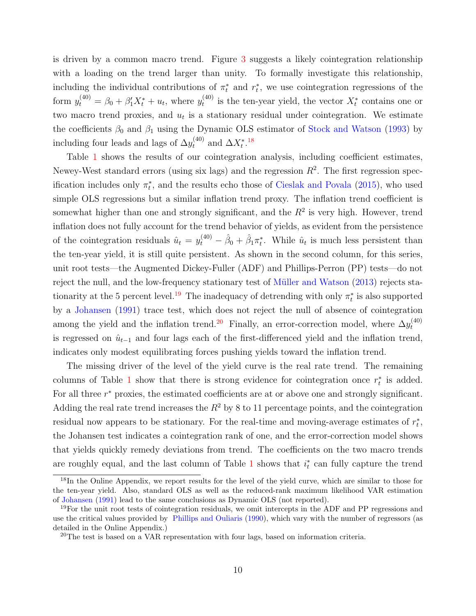is driven by a common macro trend. Figure [3](#page-47-0) suggests a likely cointegration relationship with a loading on the trend larger than unity. To formally investigate this relationship, including the individual contributions of  $\pi_t^*$  and  $r_t^*$ , we use cointegration regressions of the form  $y_t^{(40)} = \beta_0 + \beta_1' X_t^* + u_t$ , where  $y_t^{(40)}$  $t_t^{(40)}$  is the ten-year yield, the vector  $X_t^*$  contains one or two macro trend proxies, and  $u_t$  is a stationary residual under cointegration. We estimate the coefficients  $\beta_0$  and  $\beta_1$  using the Dynamic OLS estimator of [Stock and Watson](#page-35-8) [\(1993\)](#page-35-8) by including four leads and lags of  $\Delta y_t^{(40)}$  and  $\Delta X_t^{*}$ .<sup>[18](#page-11-0)</sup>

Table [1](#page-41-0) shows the results of our cointegration analysis, including coefficient estimates, Newey-West standard errors (using six lags) and the regression  $R^2$ . The first regression specification includes only  $\pi_t^*$ , and the results echo those of [Cieslak and Povala](#page-30-1) [\(2015\)](#page-30-1), who used simple OLS regressions but a similar inflation trend proxy. The inflation trend coefficient is somewhat higher than one and strongly significant, and the  $R<sup>2</sup>$  is very high. However, trend inflation does not fully account for the trend behavior of yields, as evident from the persistence of the cointegration residuals  $\hat{u}_t = y_t^{(40)} - \hat{\beta}_0 + \hat{\beta}_1 \pi_t^*$ . While  $\hat{u}_t$  is much less persistent than the ten-year yield, it is still quite persistent. As shown in the second column, for this series, unit root tests—the Augmented Dickey-Fuller (ADF) and Phillips-Perron (PP) tests—do not reject the null, and the low-frequency stationary test of Müller and Watson [\(2013\)](#page-34-9) rejects sta-tionarity at the 5 percent level.<sup>[19](#page-11-1)</sup> The inadequacy of detrending with only  $\pi_t^*$  is also supported by a [Johansen](#page-33-10) [\(1991\)](#page-33-10) trace test, which does not reject the null of absence of cointegration among the yield and the inflation trend.<sup>[20](#page-11-2)</sup> Finally, an error-correction model, where  $\Delta y_t^{(40)}$ t is regressed on  $\hat{u}_{t-1}$  and four lags each of the first-differenced yield and the inflation trend, indicates only modest equilibrating forces pushing yields toward the inflation trend.

The missing driver of the level of the yield curve is the real rate trend. The remaining columns of Table [1](#page-41-0) show that there is strong evidence for cointegration once  $r_t^*$  is added. For all three  $r^*$  proxies, the estimated coefficients are at or above one and strongly significant. Adding the real rate trend increases the  $R^2$  by 8 to 11 percentage points, and the cointegration residual now appears to be stationary. For the real-time and moving-average estimates of  $r_t^*$ , the Johansen test indicates a cointegration rank of one, and the error-correction model shows that yields quickly remedy deviations from trend. The coefficients on the two macro trends are roughly equal, and the last column of Table [1](#page-41-0) shows that  $i_t^*$  can fully capture the trend

<span id="page-11-0"></span><sup>&</sup>lt;sup>18</sup>In the Online Appendix, we report results for the level of the yield curve, which are similar to those for the ten-year yield. Also, standard OLS as well as the reduced-rank maximum likelihood VAR estimation of [Johansen](#page-33-10) [\(1991\)](#page-33-10) lead to the same conclusions as Dynamic OLS (not reported).

<span id="page-11-1"></span> $19$ For the unit root tests of cointegration residuals, we omit intercepts in the ADF and PP regressions and use the critical values provided by [Phillips and Ouliaris](#page-34-10) [\(1990\)](#page-34-10), which vary with the number of regressors (as detailed in the Online Appendix.)

<span id="page-11-2"></span><sup>20</sup>The test is based on a VAR representation with four lags, based on information criteria.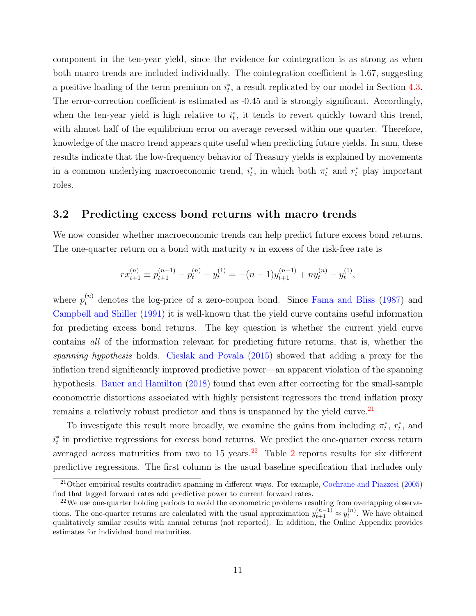component in the ten-year yield, since the evidence for cointegration is as strong as when both macro trends are included individually. The cointegration coefficient is 1.67, suggesting a positive loading of the term premium on  $i_t^*$ , a result replicated by our model in Section [4.3.](#page-20-0) The error-correction coefficient is estimated as -0.45 and is strongly significant. Accordingly, when the ten-year yield is high relative to  $i_t^*$ , it tends to revert quickly toward this trend, with almost half of the equilibrium error on average reversed within one quarter. Therefore, knowledge of the macro trend appears quite useful when predicting future yields. In sum, these results indicate that the low-frequency behavior of Treasury yields is explained by movements in a common underlying macroeconomic trend,  $i_t^*$ , in which both  $\pi_t^*$  and  $r_t^*$  play important roles.

#### <span id="page-12-2"></span>3.2 Predicting excess bond returns with macro trends

We now consider whether macroeconomic trends can help predict future excess bond returns. The one-quarter return on a bond with maturity  $n$  in excess of the risk-free rate is

$$
rx_{t+1}^{(n)} \equiv p_{t+1}^{(n-1)} - p_t^{(n)} - y_t^{(1)} = -(n-1)y_{t+1}^{(n-1)} + ny_t^{(n)} - y_t^{(1)},
$$

where  $p_t^{(n)}$  denotes the log-price of a zero-coupon bond. Since [Fama and Bliss](#page-31-1) [\(1987\)](#page-31-1) and [Campbell and Shiller](#page-30-2) [\(1991\)](#page-30-2) it is well-known that the yield curve contains useful information for predicting excess bond returns. The key question is whether the current yield curve contains all of the information relevant for predicting future returns, that is, whether the spanning hypothesis holds. [Cieslak and Povala](#page-30-1) [\(2015\)](#page-30-1) showed that adding a proxy for the inflation trend significantly improved predictive power—an apparent violation of the spanning hypothesis. [Bauer and Hamilton](#page-29-3) [\(2018\)](#page-29-3) found that even after correcting for the small-sample econometric distortions associated with highly persistent regressors the trend inflation proxy remains a relatively robust predictor and thus is unspanned by the yield curve.<sup>[21](#page-12-0)</sup>

To investigate this result more broadly, we examine the gains from including  $\pi_t^*$ ,  $r_t^*$ , and  $i_t^*$  in predictive regressions for excess bond returns. We predict the one-quarter excess return averaged across maturities from two to  $15$  years.<sup>[22](#page-12-1)</sup> Table [2](#page-42-0) reports results for six different predictive regressions. The first column is the usual baseline specification that includes only

<span id="page-12-0"></span><sup>21</sup>Other empirical results contradict spanning in different ways. For example, [Cochrane and Piazzesi](#page-30-3) [\(2005\)](#page-30-3) find that lagged forward rates add predictive power to current forward rates.

<span id="page-12-1"></span><sup>&</sup>lt;sup>22</sup>We use one-quarter holding periods to avoid the econometric problems resulting from overlapping observations. The one-quarter returns are calculated with the usual approximation  $y_{t+1}^{(n-1)} \approx y_t^{(n)}$ . We have obtained qualitatively similar results with annual returns (not reported). In addition, the Online Appendix provides estimates for individual bond maturities.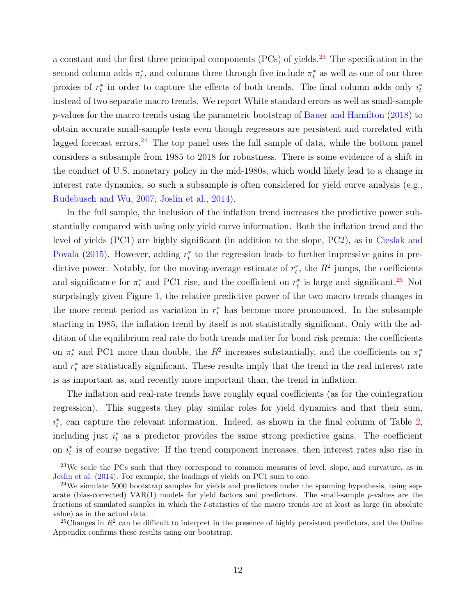a constant and the first three principal components (PCs) of yields.<sup>[23](#page-13-0)</sup> The specification in the second column adds  $\pi_t^*$ , and columns three through five include  $\pi_t^*$  as well as one of our three proxies of  $r_t^*$  in order to capture the effects of both trends. The final column adds only  $i_t^*$ instead of two separate macro trends. We report White standard errors as well as small-sample p-values for the macro trends using the parametric bootstrap of [Bauer and Hamilton](#page-29-3) [\(2018\)](#page-29-3) to obtain accurate small-sample tests even though regressors are persistent and correlated with lagged forecast errors.<sup>[24](#page-13-1)</sup> The top panel uses the full sample of data, while the bottom panel considers a subsample from 1985 to 2018 for robustness. There is some evidence of a shift in the conduct of U.S. monetary policy in the mid-1980s, which would likely lead to a change in interest rate dynamics, so such a subsample is often considered for yield curve analysis (e.g., [Rudebusch and Wu,](#page-35-9) [2007;](#page-35-9) [Joslin et al.,](#page-33-8) [2014\)](#page-33-8).

In the full sample, the inclusion of the inflation trend increases the predictive power substantially compared with using only yield curve information. Both the inflation trend and the level of yields (PC1) are highly significant (in addition to the slope, PC2), as in [Cieslak and](#page-30-1) [Povala](#page-30-1) [\(2015\)](#page-30-1). However, adding  $r_t^*$  to the regression leads to further impressive gains in predictive power. Notably, for the moving-average estimate of  $r_t^*$ , the  $R^2$  jumps, the coefficients and significance for  $\pi_t^*$  and PC1 rise, and the coefficient on  $r_t^*$  is large and significant.<sup>[25](#page-13-2)</sup> Not surprisingly given Figure [1,](#page-45-0) the relative predictive power of the two macro trends changes in the more recent period as variation in  $r_t^*$  has become more pronounced. In the subsample starting in 1985, the inflation trend by itself is not statistically significant. Only with the addition of the equilibrium real rate do both trends matter for bond risk premia: the coefficients on  $\pi_t^*$  and PC1 more than double, the  $R^2$  increases substantially, and the coefficients on  $\pi_t^*$ and  $r_t^*$  are statistically significant. These results imply that the trend in the real interest rate is as important as, and recently more important than, the trend in inflation.

The inflation and real-rate trends have roughly equal coefficients (as for the cointegration regression). This suggests they play similar roles for yield dynamics and that their sum,  $i_t^*$ , can capture the relevant information. Indeed, as shown in the final column of Table [2,](#page-42-0) including just  $i_t^*$  as a predictor provides the same strong predictive gains. The coefficient on  $i_t^*$  is of course negative: If the trend component increases, then interest rates also rise in

<span id="page-13-0"></span> $^{23}$ We scale the PCs such that they correspond to common measures of level, slope, and curvature, as in [Joslin et al.](#page-33-8) [\(2014\)](#page-33-8). For example, the loadings of yields on PC1 sum to one.

<span id="page-13-1"></span> $24$ We simulate 5000 bootstrap samples for yields and predictors under the spanning hypothesis, using separate (bias-corrected) VAR $(1)$  models for yield factors and predictors. The small-sample p-values are the fractions of simulated samples in which the t-statistics of the macro trends are at least as large (in absolute value) as in the actual data.

<span id="page-13-2"></span><sup>&</sup>lt;sup>25</sup>Changes in  $R^2$  can be difficult to interpret in the presence of highly persistent predictors, and the Online Appendix confirms these results using our bootstrap.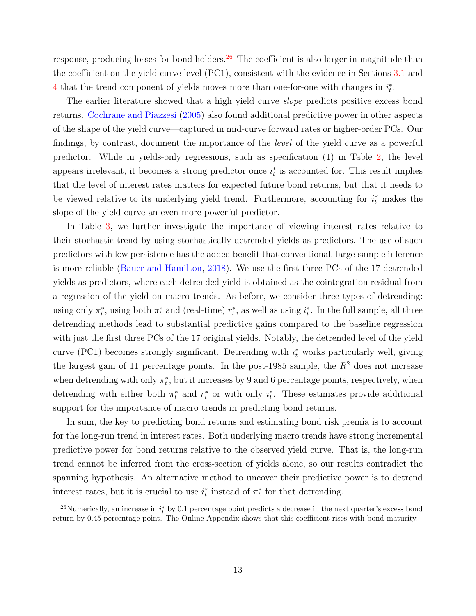response, producing losses for bond holders.<sup>[26](#page-14-0)</sup> The coefficient is also larger in magnitude than the coefficient on the yield curve level (PC1), consistent with the evidence in Sections [3.1](#page-10-3) and [4](#page-15-0) that the trend component of yields moves more than one-for-one with changes in  $i_t^*$ .

The earlier literature showed that a high yield curve *slope* predicts positive excess bond returns. [Cochrane and Piazzesi](#page-30-3) [\(2005\)](#page-30-3) also found additional predictive power in other aspects of the shape of the yield curve—captured in mid-curve forward rates or higher-order PCs. Our findings, by contrast, document the importance of the level of the yield curve as a powerful predictor. While in yields-only regressions, such as specification (1) in Table [2,](#page-42-0) the level appears irrelevant, it becomes a strong predictor once  $i_t^*$  is accounted for. This result implies that the level of interest rates matters for expected future bond returns, but that it needs to be viewed relative to its underlying yield trend. Furthermore, accounting for  $i_t^*$  makes the slope of the yield curve an even more powerful predictor.

In Table [3,](#page-43-0) we further investigate the importance of viewing interest rates relative to their stochastic trend by using stochastically detrended yields as predictors. The use of such predictors with low persistence has the added benefit that conventional, large-sample inference is more reliable [\(Bauer and Hamilton,](#page-29-3) [2018\)](#page-29-3). We use the first three PCs of the 17 detrended yields as predictors, where each detrended yield is obtained as the cointegration residual from a regression of the yield on macro trends. As before, we consider three types of detrending: using only  $\pi_t^*$ , using both  $\pi_t^*$  and (real-time)  $r_t^*$ , as well as using  $i_t^*$ . In the full sample, all three detrending methods lead to substantial predictive gains compared to the baseline regression with just the first three PCs of the 17 original yields. Notably, the detrended level of the yield curve (PC1) becomes strongly significant. Detrending with  $i_t^*$  works particularly well, giving the largest gain of 11 percentage points. In the post-1985 sample, the  $R^2$  does not increase when detrending with only  $\pi_t^*$ , but it increases by 9 and 6 percentage points, respectively, when detrending with either both  $\pi_t^*$  and  $r_t^*$  or with only  $i_t^*$ . These estimates provide additional support for the importance of macro trends in predicting bond returns.

In sum, the key to predicting bond returns and estimating bond risk premia is to account for the long-run trend in interest rates. Both underlying macro trends have strong incremental predictive power for bond returns relative to the observed yield curve. That is, the long-run trend cannot be inferred from the cross-section of yields alone, so our results contradict the spanning hypothesis. An alternative method to uncover their predictive power is to detrend interest rates, but it is crucial to use  $i_t^*$  instead of  $\pi_t^*$  for that detrending.

<span id="page-14-0"></span><sup>&</sup>lt;sup>26</sup>Numerically, an increase in  $i_t^*$  by 0.1 percentage point predicts a decrease in the next quarter's excess bond return by 0.45 percentage point. The Online Appendix shows that this coefficient rises with bond maturity.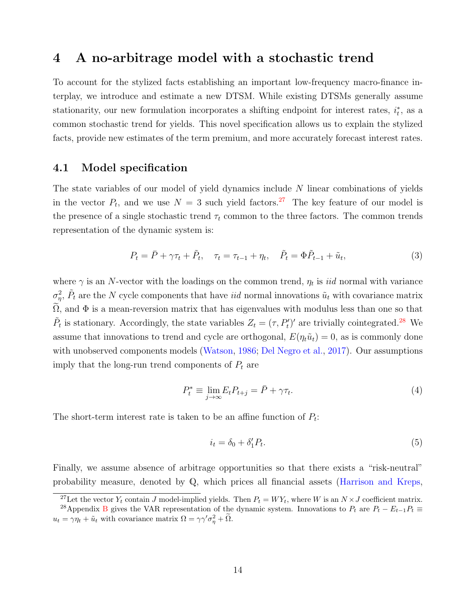## <span id="page-15-0"></span>4 A no-arbitrage model with a stochastic trend

To account for the stylized facts establishing an important low-frequency macro-finance interplay, we introduce and estimate a new DTSM. While existing DTSMs generally assume stationarity, our new formulation incorporates a shifting endpoint for interest rates,  $i_t^*$ , as a common stochastic trend for yields. This novel specification allows us to explain the stylized facts, provide new estimates of the term premium, and more accurately forecast interest rates.

#### 4.1 Model specification

The state variables of our model of yield dynamics include N linear combinations of yields in the vector  $P_t$ , and we use  $N = 3$  such yield factors.<sup>[27](#page-15-1)</sup> The key feature of our model is the presence of a single stochastic trend  $\tau_t$  common to the three factors. The common trends representation of the dynamic system is:

<span id="page-15-4"></span>
$$
P_t = \bar{P} + \gamma \tau_t + \tilde{P}_t, \quad \tau_t = \tau_{t-1} + \eta_t, \quad \tilde{P}_t = \Phi \tilde{P}_{t-1} + \tilde{u}_t,
$$
\n(3)

where  $\gamma$  is an N-vector with the loadings on the common trend,  $\eta_t$  is *iid* normal with variance  $\sigma_{\eta}^2$ ,  $\tilde{P}_t$  are the N cycle components that have *iid* normal innovations  $\tilde{u}_t$  with covariance matrix  $\Omega$ , and  $\Phi$  is a mean-reversion matrix that has eigenvalues with modulus less than one so that  $\tilde{P}_t$  is stationary. Accordingly, the state variables  $Z_t = (\tau, P'_t)'$  are trivially cointegrated.<sup>[28](#page-15-2)</sup> We assume that innovations to trend and cycle are orthogonal,  $E(\eta_t\tilde{u}_t) = 0$ , as is commonly done with unobserved components models [\(Watson,](#page-35-10) [1986;](#page-35-10) [Del Negro et al.,](#page-31-3) [2017\)](#page-31-3). Our assumptions imply that the long-run trend components of  $P_t$  are

$$
P_t^* \equiv \lim_{j \to \infty} E_t P_{t+j} = \bar{P} + \gamma \tau_t. \tag{4}
$$

The short-term interest rate is taken to be an affine function of  $P_t$ :

<span id="page-15-3"></span>
$$
i_t = \delta_0 + \delta'_1 P_t. \tag{5}
$$

Finally, we assume absence of arbitrage opportunities so that there exists a "risk-neutral" probability measure, denoted by Q, which prices all financial assets [\(Harrison and Kreps,](#page-32-9)

<span id="page-15-2"></span><span id="page-15-1"></span><sup>&</sup>lt;sup>27</sup>Let the vector  $Y_t$  contain J model-implied yields. Then  $P_t = W Y_t$ , where W is an  $N \times J$  coefficient matrix.

<sup>&</sup>lt;sup>28</sup>Appendix [B](#page-37-0) gives the VAR representation of the dynamic system. Innovations to  $P_t$  are  $P_t - E_{t-1}P_t \equiv$  $u_t = \gamma \eta_t + \tilde{u}_t$  with covariance matrix  $\Omega = \gamma \gamma' \sigma_{\eta}^2 + \tilde{\Omega}$ .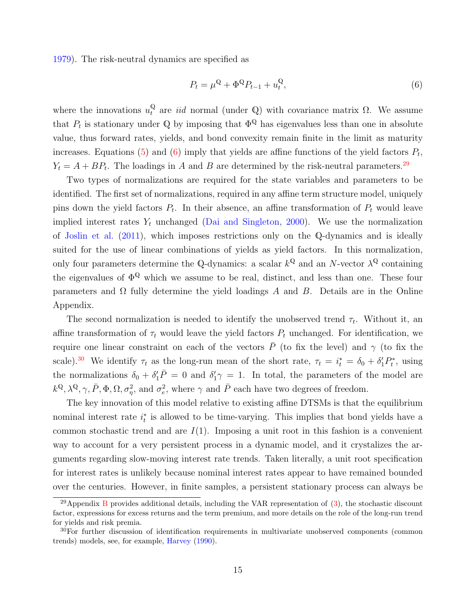[1979\)](#page-32-9). The risk-neutral dynamics are specified as

<span id="page-16-0"></span>
$$
P_t = \mu^{\mathbb{Q}} + \Phi^{\mathbb{Q}} P_{t-1} + u_t^{\mathbb{Q}},\tag{6}
$$

where the innovations  $u_t^{\mathbb{Q}}$  are *iid* normal (under  $\mathbb{Q}$ ) with covariance matrix  $\Omega$ . We assume that  $P_t$  is stationary under Q by imposing that  $\Phi^{\mathbb{Q}}$  has eigenvalues less than one in absolute value, thus forward rates, yields, and bond convexity remain finite in the limit as maturity increases. Equations [\(5\)](#page-15-3) and [\(6\)](#page-16-0) imply that yields are affine functions of the yield factors  $P_t$ ,  $Y_t = A + BP_t$ . The loadings in A and B are determined by the risk-neutral parameters.<sup>[29](#page-16-1)</sup>

Two types of normalizations are required for the state variables and parameters to be identified. The first set of normalizations, required in any affine term structure model, uniquely pins down the yield factors  $P_t$ . In their absence, an affine transformation of  $P_t$  would leave implied interest rates  $Y_t$  unchanged [\(Dai and Singleton,](#page-31-8) [2000\)](#page-31-8). We use the normalization of [Joslin et al.](#page-33-1) [\(2011\)](#page-33-1), which imposes restrictions only on the Q-dynamics and is ideally suited for the use of linear combinations of yields as yield factors. In this normalization, only four parameters determine the Q-dynamics: a scalar  $k^{\mathbb{Q}}$  and an N-vector  $\lambda^{\mathbb{Q}}$  containing the eigenvalues of  $\Phi^{\mathbb{Q}}$  which we assume to be real, distinct, and less than one. These four parameters and  $\Omega$  fully determine the yield loadings A and B. Details are in the Online Appendix.

The second normalization is needed to identify the unobserved trend  $\tau_t$ . Without it, an affine transformation of  $\tau_t$  would leave the yield factors  $P_t$  unchanged. For identification, we require one linear constraint on each of the vectors  $\bar{P}$  (to fix the level) and  $\gamma$  (to fix the scale).<sup>[30](#page-16-2)</sup> We identify  $\tau_t$  as the long-run mean of the short rate,  $\tau_t = i_t^* = \delta_0 + \delta'_1 P_t^*$ , using the normalizations  $\delta_0 + \delta'_1 \bar{P} = 0$  and  $\delta'_1 \gamma = 1$ . In total, the parameters of the model are  $k^{\mathbb{Q}}, \lambda^{\mathbb{Q}}, \gamma, \bar{P}, \Phi, \Omega, \sigma_{\eta}^2$ , and  $\sigma_e^2$ , where  $\gamma$  and  $\bar{P}$  each have two degrees of freedom.

The key innovation of this model relative to existing affine DTSMs is that the equilibrium nominal interest rate  $i_t^*$  is allowed to be time-varying. This implies that bond yields have a common stochastic trend and are  $I(1)$ . Imposing a unit root in this fashion is a convenient way to account for a very persistent process in a dynamic model, and it crystalizes the arguments regarding slow-moving interest rate trends. Taken literally, a unit root specification for interest rates is unlikely because nominal interest rates appear to have remained bounded over the centuries. However, in finite samples, a persistent stationary process can always be

<span id="page-16-1"></span><sup>&</sup>lt;sup>29</sup>Appendix [B](#page-37-0) provides additional details, including the VAR representation of  $(3)$ , the stochastic discount factor, expressions for excess returns and the term premium, and more details on the role of the long-run trend for yields and risk premia.

<span id="page-16-2"></span> $30$ For further discussion of identification requirements in multivariate unobserved components (common trends) models, see, for example, [Harvey](#page-32-10) [\(1990\)](#page-32-10).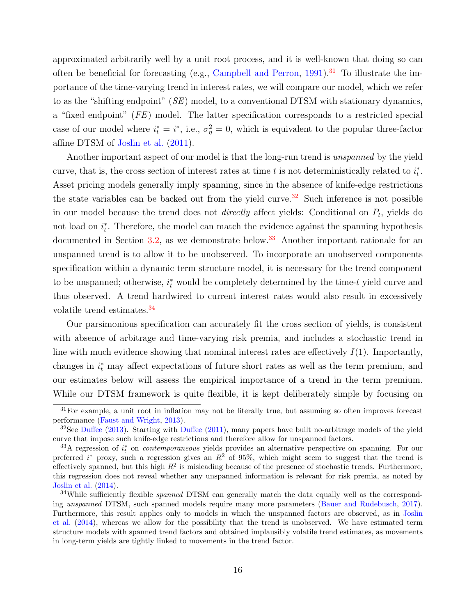approximated arbitrarily well by a unit root process, and it is well-known that doing so can often be beneficial for forecasting (e.g., [Campbell and Perron,](#page-30-9) [1991\)](#page-30-9).<sup>[31](#page-17-0)</sup> To illustrate the importance of the time-varying trend in interest rates, we will compare our model, which we refer to as the "shifting endpoint" (SE) model, to a conventional DTSM with stationary dynamics, a "fixed endpoint" (FE) model. The latter specification corresponds to a restricted special case of our model where  $i_t^* = i^*$ , i.e.,  $\sigma_{\eta}^2 = 0$ , which is equivalent to the popular three-factor affine DTSM of [Joslin et al.](#page-33-1) [\(2011\)](#page-33-1).

Another important aspect of our model is that the long-run trend is unspanned by the yield curve, that is, the cross section of interest rates at time t is not deterministically related to  $i_t^*$ . Asset pricing models generally imply spanning, since in the absence of knife-edge restrictions the state variables can be backed out from the yield curve.<sup>[32](#page-17-1)</sup> Such inference is not possible in our model because the trend does not *directly* affect yields: Conditional on  $P_t$ , yields do not load on  $i_t^*$ . Therefore, the model can match the evidence against the spanning hypothesis documented in Section [3.2,](#page-12-2) as we demonstrate below.<sup>[33](#page-17-2)</sup> Another important rationale for an unspanned trend is to allow it to be unobserved. To incorporate an unobserved components specification within a dynamic term structure model, it is necessary for the trend component to be unspanned; otherwise,  $i_t^*$  would be completely determined by the time-t yield curve and thus observed. A trend hardwired to current interest rates would also result in excessively volatile trend estimates.[34](#page-17-3)

Our parsimonious specification can accurately fit the cross section of yields, is consistent with absence of arbitrage and time-varying risk premia, and includes a stochastic trend in line with much evidence showing that nominal interest rates are effectively  $I(1)$ . Importantly, changes in  $i_t^*$  may affect expectations of future short rates as well as the term premium, and our estimates below will assess the empirical importance of a trend in the term premium. While our DTSM framework is quite flexible, it is kept deliberately simple by focusing on

<span id="page-17-0"></span> $31$  For example, a unit root in inflation may not be literally true, but assuming so often improves forecast performance [\(Faust and Wright,](#page-31-7) [2013\)](#page-31-7).

<span id="page-17-1"></span> $32$ See [Duffee](#page-31-9) [\(2013\)](#page-31-2). Starting with Duffee [\(2011\)](#page-31-9), many papers have built no-arbitrage models of the yield curve that impose such knife-edge restrictions and therefore allow for unspanned factors.

<span id="page-17-2"></span> $^{33}$ A regression of  $i_t^*$  on *contemporaneous* yields provides an alternative perspective on spanning. For our preferred i<sup>\*</sup> proxy, such a regression gives an  $R^2$  of 95%, which might seem to suggest that the trend is effectively spanned, but this high  $R^2$  is misleading because of the presence of stochastic trends. Furthermore, this regression does not reveal whether any unspanned information is relevant for risk premia, as noted by [Joslin et al.](#page-33-8) [\(2014\)](#page-33-8).

<span id="page-17-3"></span><sup>&</sup>lt;sup>34</sup>While sufficiently flexible *spanned* DTSM can generally match the data equally well as the corresponding unspanned DTSM, such spanned models require many more parameters [\(Bauer and Rudebusch,](#page-29-2) [2017\)](#page-29-2). Furthermore, this result applies only to models in which the unspanned factors are observed, as in [Joslin](#page-33-8) [et al.](#page-33-8) [\(2014\)](#page-33-8), whereas we allow for the possibility that the trend is unobserved. We have estimated term structure models with spanned trend factors and obtained implausibly volatile trend estimates, as movements in long-term yields are tightly linked to movements in the trend factor.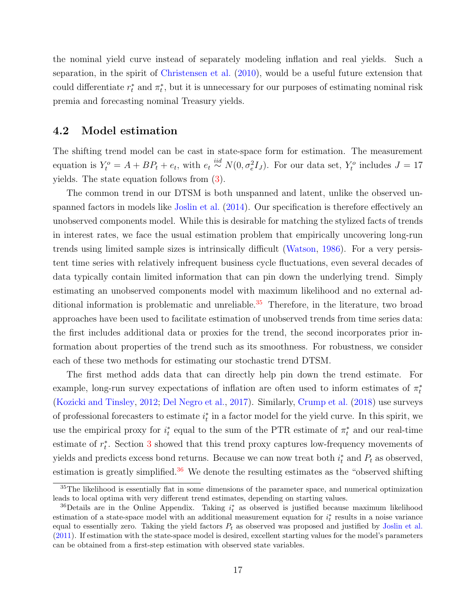the nominal yield curve instead of separately modeling inflation and real yields. Such a separation, in the spirit of [Christensen et al.](#page-30-10) [\(2010\)](#page-30-10), would be a useful future extension that could differentiate  $r_t^*$  and  $\pi_t^*$ , but it is unnecessary for our purposes of estimating nominal risk premia and forecasting nominal Treasury yields.

#### <span id="page-18-2"></span>4.2 Model estimation

The shifting trend model can be cast in state-space form for estimation. The measurement equation is  $Y_t^o = A + BP_t + e_t$ , with  $e_t \stackrel{iid}{\sim} N(0, \sigma_e^2 I_J)$ . For our data set,  $Y_t^o$  includes  $J = 17$ yields. The state equation follows from [\(3\)](#page-15-4).

The common trend in our DTSM is both unspanned and latent, unlike the observed unspanned factors in models like [Joslin et al.](#page-33-8) [\(2014\)](#page-33-8). Our specification is therefore effectively an unobserved components model. While this is desirable for matching the stylized facts of trends in interest rates, we face the usual estimation problem that empirically uncovering long-run trends using limited sample sizes is intrinsically difficult [\(Watson,](#page-35-10) [1986\)](#page-35-10). For a very persistent time series with relatively infrequent business cycle fluctuations, even several decades of data typically contain limited information that can pin down the underlying trend. Simply estimating an unobserved components model with maximum likelihood and no external ad-ditional information is problematic and unreliable.<sup>[35](#page-18-0)</sup> Therefore, in the literature, two broad approaches have been used to facilitate estimation of unobserved trends from time series data: the first includes additional data or proxies for the trend, the second incorporates prior information about properties of the trend such as its smoothness. For robustness, we consider each of these two methods for estimating our stochastic trend DTSM.

The first method adds data that can directly help pin down the trend estimate. For example, long-run survey expectations of inflation are often used to inform estimates of  $\pi_t^*$ [\(Kozicki and Tinsley,](#page-33-11) [2012;](#page-33-11) [Del Negro et al.,](#page-31-3) [2017\)](#page-31-3). Similarly, [Crump et al.](#page-30-6) [\(2018\)](#page-30-6) use surveys of professional forecasters to estimate  $i_t^*$  in a factor model for the yield curve. In this spirit, we use the empirical proxy for  $i_t^*$  equal to the sum of the PTR estimate of  $\pi_t^*$  and our real-time estimate of  $r_t^*$ . Section [3](#page-10-0) showed that this trend proxy captures low-frequency movements of yields and predicts excess bond returns. Because we can now treat both  $i_t^*$  and  $P_t$  as observed, estimation is greatly simplified.<sup>[36](#page-18-1)</sup> We denote the resulting estimates as the "observed shifting"

<span id="page-18-0"></span> $35$ The likelihood is essentially flat in some dimensions of the parameter space, and numerical optimization leads to local optima with very different trend estimates, depending on starting values.

<span id="page-18-1"></span><sup>&</sup>lt;sup>36</sup>Details are in the Online Appendix. Taking  $i_t^*$  as observed is justified because maximum likelihood estimation of a state-space model with an additional measurement equation for  $i_t^*$  results in a noise variance equal to essentially zero. Taking the yield factors  $P_t$  as observed was proposed and justified by [Joslin et al.](#page-33-1) [\(2011\)](#page-33-1). If estimation with the state-space model is desired, excellent starting values for the model's parameters can be obtained from a first-step estimation with observed state variables.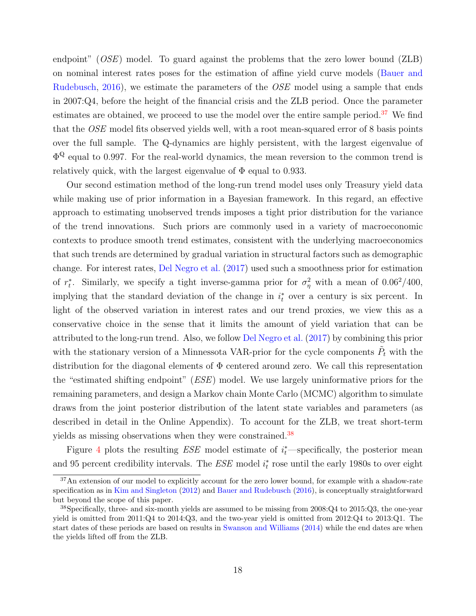endpoint" (OSE) model. To guard against the problems that the zero lower bound (ZLB) on nominal interest rates poses for the estimation of affine yield curve models [\(Bauer and](#page-29-8) [Rudebusch,](#page-29-8)  $2016$ , we estimate the parameters of the *OSE* model using a sample that ends in 2007:Q4, before the height of the financial crisis and the ZLB period. Once the parameter estimates are obtained, we proceed to use the model over the entire sample period.<sup>[37](#page-19-0)</sup> We find that the OSE model fits observed yields well, with a root mean-squared error of 8 basis points over the full sample. The Q-dynamics are highly persistent, with the largest eigenvalue of  $\Phi^{\mathbb{Q}}$  equal to 0.997. For the real-world dynamics, the mean reversion to the common trend is relatively quick, with the largest eigenvalue of  $\Phi$  equal to 0.933.

Our second estimation method of the long-run trend model uses only Treasury yield data while making use of prior information in a Bayesian framework. In this regard, an effective approach to estimating unobserved trends imposes a tight prior distribution for the variance of the trend innovations. Such priors are commonly used in a variety of macroeconomic contexts to produce smooth trend estimates, consistent with the underlying macroeconomics that such trends are determined by gradual variation in structural factors such as demographic change. For interest rates, [Del Negro et al.](#page-31-3) [\(2017\)](#page-31-3) used such a smoothness prior for estimation of  $r_t^*$ . Similarly, we specify a tight inverse-gamma prior for  $\sigma_\eta^2$  with a mean of 0.06<sup>2</sup>/400, implying that the standard deviation of the change in  $i_t^*$  over a century is six percent. In light of the observed variation in interest rates and our trend proxies, we view this as a conservative choice in the sense that it limits the amount of yield variation that can be attributed to the long-run trend. Also, we follow [Del Negro et al.](#page-31-3) [\(2017\)](#page-31-3) by combining this prior with the stationary version of a Minnessota VAR-prior for the cycle components  $\tilde{P}_t$  with the distribution for the diagonal elements of  $\Phi$  centered around zero. We call this representation the "estimated shifting endpoint" (ESE) model. We use largely uninformative priors for the remaining parameters, and design a Markov chain Monte Carlo (MCMC) algorithm to simulate draws from the joint posterior distribution of the latent state variables and parameters (as described in detail in the Online Appendix). To account for the ZLB, we treat short-term yields as missing observations when they were constrained.<sup>[38](#page-19-1)</sup>

Figure [4](#page-48-0) plots the resulting  $ESE$  model estimate of  $i_t^*$ —specifically, the posterior mean and 95 percent credibility intervals. The  $ESE$  model  $i_t^*$  rose until the early 1980s to over eight

<span id="page-19-0"></span><sup>&</sup>lt;sup>37</sup>An extension of our model to explicitly account for the zero lower bound, for example with a shadow-rate specification as in [Kim and Singleton](#page-33-12) [\(2012\)](#page-33-12) and [Bauer and Rudebusch](#page-29-8) [\(2016\)](#page-29-8), is conceptually straightforward but beyond the scope of this paper.

<span id="page-19-1"></span><sup>38</sup>Specifically, three- and six-month yields are assumed to be missing from 2008:Q4 to 2015:Q3, the one-year yield is omitted from 2011:Q4 to 2014:Q3, and the two-year yield is omitted from 2012:Q4 to 2013:Q1. The start dates of these periods are based on results in [Swanson and Williams](#page-35-11) [\(2014\)](#page-35-11) while the end dates are when the yields lifted off from the ZLB.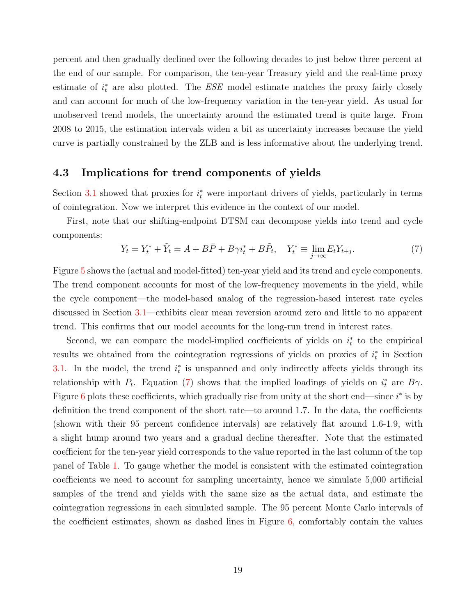percent and then gradually declined over the following decades to just below three percent at the end of our sample. For comparison, the ten-year Treasury yield and the real-time proxy estimate of  $i_t^*$  are also plotted. The  $ESE$  model estimate matches the proxy fairly closely and can account for much of the low-frequency variation in the ten-year yield. As usual for unobserved trend models, the uncertainty around the estimated trend is quite large. From 2008 to 2015, the estimation intervals widen a bit as uncertainty increases because the yield curve is partially constrained by the ZLB and is less informative about the underlying trend.

#### <span id="page-20-0"></span>4.3 Implications for trend components of yields

Section [3.1](#page-10-3) showed that proxies for  $i_t^*$  were important drivers of yields, particularly in terms of cointegration. Now we interpret this evidence in the context of our model.

First, note that our shifting-endpoint DTSM can decompose yields into trend and cycle components:

<span id="page-20-1"></span>
$$
Y_t = Y_t^* + \tilde{Y}_t = A + B\bar{P} + B\gamma i_t^* + B\tilde{P}_t, \quad Y_t^* \equiv \lim_{j \to \infty} E_t Y_{t+j}.
$$

$$
\tag{7}
$$

Figure [5](#page-49-0) shows the (actual and model-fitted) ten-year yield and its trend and cycle components. The trend component accounts for most of the low-frequency movements in the yield, while the cycle component—the model-based analog of the regression-based interest rate cycles discussed in Section [3.1—](#page-10-3)exhibits clear mean reversion around zero and little to no apparent trend. This confirms that our model accounts for the long-run trend in interest rates.

Second, we can compare the model-implied coefficients of yields on  $i_t^*$  to the empirical results we obtained from the cointegration regressions of yields on proxies of  $i_t^*$  in Section [3.1.](#page-10-3) In the model, the trend  $i_t^*$  is unspanned and only indirectly affects yields through its relationship with  $P_t$ . Equation [\(7\)](#page-20-1) shows that the implied loadings of yields on  $i_t^*$  are  $B\gamma$ . Figure [6](#page-50-0) plots these coefficients, which gradually rise from unity at the short end—since  $i^*$  is by definition the trend component of the short rate—to around 1.7. In the data, the coefficients (shown with their 95 percent confidence intervals) are relatively flat around 1.6-1.9, with a slight hump around two years and a gradual decline thereafter. Note that the estimated coefficient for the ten-year yield corresponds to the value reported in the last column of the top panel of Table [1.](#page-41-0) To gauge whether the model is consistent with the estimated cointegration coefficients we need to account for sampling uncertainty, hence we simulate 5,000 artificial samples of the trend and yields with the same size as the actual data, and estimate the cointegration regressions in each simulated sample. The 95 percent Monte Carlo intervals of the coefficient estimates, shown as dashed lines in Figure  $6$ , comfortably contain the values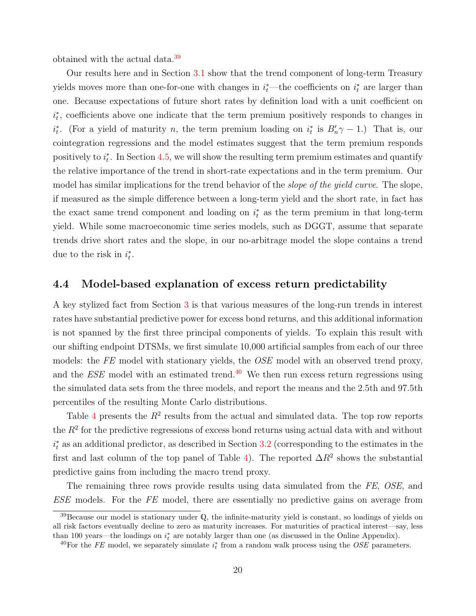obtained with the actual data.[39](#page-21-0)

Our results here and in Section [3.1](#page-10-3) show that the trend component of long-term Treasury yields moves more than one-for-one with changes in  $i_t^*$ —the coefficients on  $i_t^*$  are larger than one. Because expectations of future short rates by definition load with a unit coefficient on  $i_t^*$ , coefficients above one indicate that the term premium positively responds to changes in  $i_t^*$ . (For a yield of maturity n, the term premium loading on  $i_t^*$  is  $B'_n\gamma - 1$ .) That is, our cointegration regressions and the model estimates suggest that the term premium responds positively to  $i_t^*$ . In Section [4.5,](#page-23-0) we will show the resulting term premium estimates and quantify the relative importance of the trend in short-rate expectations and in the term premium. Our model has similar implications for the trend behavior of the *slope of the yield curve*. The slope, if measured as the simple difference between a long-term yield and the short rate, in fact has the exact same trend component and loading on  $i_t^*$  as the term premium in that long-term yield. While some macroeconomic time series models, such as DGGT, assume that separate trends drive short rates and the slope, in our no-arbitrage model the slope contains a trend due to the risk in  $i_t^*$ .

#### 4.4 Model-based explanation of excess return predictability

A key stylized fact from Section [3](#page-10-0) is that various measures of the long-run trends in interest rates have substantial predictive power for excess bond returns, and this additional information is not spanned by the first three principal components of yields. To explain this result with our shifting endpoint DTSMs, we first simulate 10,000 artificial samples from each of our three models: the FE model with stationary yields, the OSE model with an observed trend proxy, and the  $ESE$  model with an estimated trend.<sup>[40](#page-21-1)</sup> We then run excess return regressions using the simulated data sets from the three models, and report the means and the 2.5th and 97.5th percentiles of the resulting Monte Carlo distributions.

Table [4](#page-43-1) presents the  $R^2$  results from the actual and simulated data. The top row reports the  $R<sup>2</sup>$  for the predictive regressions of excess bond returns using actual data with and without  $i_t^*$  as an additional predictor, as described in Section [3.2](#page-12-2) (corresponding to the estimates in the first and last column of the top panel of Table [4\)](#page-43-1). The reported  $\Delta R^2$  shows the substantial predictive gains from including the macro trend proxy.

The remaining three rows provide results using data simulated from the FE, OSE, and ESE models. For the FE model, there are essentially no predictive gains on average from

<span id="page-21-0"></span><sup>39</sup>Because our model is stationary under Q, the infinite-maturity yield is constant, so loadings of yields on all risk factors eventually decline to zero as maturity increases. For maturities of practical interest—say, less than 100 years—the loadings on  $i_t^*$  are notably larger than one (as discussed in the Online Appendix).

<span id="page-21-1"></span><sup>&</sup>lt;sup>40</sup>For the FE model, we separately simulate  $i_t^*$  from a random walk process using the OSE parameters.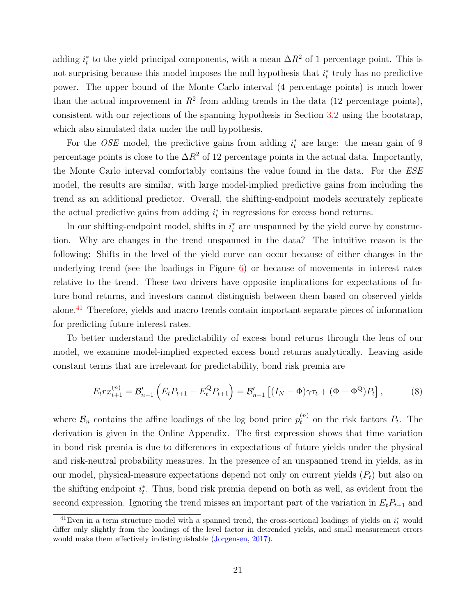adding  $i_t^*$  to the yield principal components, with a mean  $\Delta R^2$  of 1 percentage point. This is not surprising because this model imposes the null hypothesis that  $i_t^*$  truly has no predictive power. The upper bound of the Monte Carlo interval (4 percentage points) is much lower than the actual improvement in  $R^2$  from adding trends in the data (12 percentage points), consistent with our rejections of the spanning hypothesis in Section [3.2](#page-12-2) using the bootstrap, which also simulated data under the null hypothesis.

For the *OSE* model, the predictive gains from adding  $i_t^*$  are large: the mean gain of 9 percentage points is close to the  $\Delta R^2$  of 12 percentage points in the actual data. Importantly, the Monte Carlo interval comfortably contains the value found in the data. For the ESE model, the results are similar, with large model-implied predictive gains from including the trend as an additional predictor. Overall, the shifting-endpoint models accurately replicate the actual predictive gains from adding  $i_t^*$  in regressions for excess bond returns.

In our shifting-endpoint model, shifts in  $i_t^*$  are unspanned by the yield curve by construction. Why are changes in the trend unspanned in the data? The intuitive reason is the following: Shifts in the level of the yield curve can occur because of either changes in the underlying trend (see the loadings in Figure  $6$ ) or because of movements in interest rates relative to the trend. These two drivers have opposite implications for expectations of future bond returns, and investors cannot distinguish between them based on observed yields alone.<sup>[41](#page-22-0)</sup> Therefore, yields and macro trends contain important separate pieces of information for predicting future interest rates.

To better understand the predictability of excess bond returns through the lens of our model, we examine model-implied expected excess bond returns analytically. Leaving aside constant terms that are irrelevant for predictability, bond risk premia are

$$
E_t r x_{t+1}^{(n)} = \mathcal{B}_{n-1}' \left( E_t P_{t+1} - E_t^{\mathbb{Q}} P_{t+1} \right) = \mathcal{B}_{n-1}' \left[ (I_N - \Phi) \gamma \tau_t + (\Phi - \Phi^{\mathbb{Q}}) P_t \right], \tag{8}
$$

where  $\mathcal{B}_n$  contains the affine loadings of the log bond price  $p_t^{(n)}$  on the risk factors  $P_t$ . The derivation is given in the Online Appendix. The first expression shows that time variation in bond risk premia is due to differences in expectations of future yields under the physical and risk-neutral probability measures. In the presence of an unspanned trend in yields, as in our model, physical-measure expectations depend not only on current yields  $(P_t)$  but also on the shifting endpoint  $i_t^*$ . Thus, bond risk premia depend on both as well, as evident from the second expression. Ignoring the trend misses an important part of the variation in  $E_tP_{t+1}$  and

<span id="page-22-0"></span><sup>&</sup>lt;sup>41</sup>Even in a term structure model with a spanned trend, the cross-sectional loadings of yields on  $i_t^*$  would differ only slightly from the loadings of the level factor in detrended yields, and small measurement errors would make them effectively indistinguishable [\(Jorgensen,](#page-33-6) [2017\)](#page-33-6).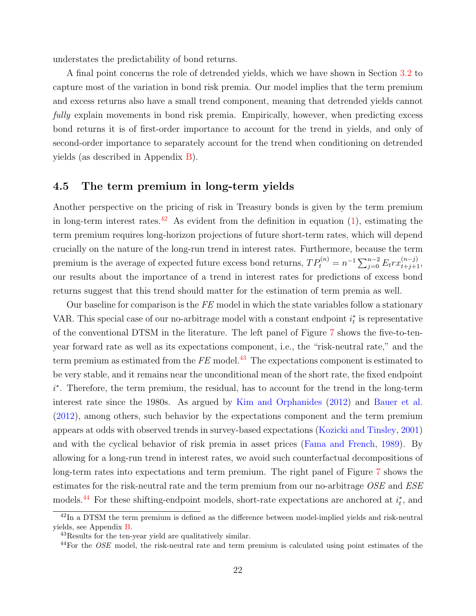understates the predictability of bond returns.

A final point concerns the role of detrended yields, which we have shown in Section [3.2](#page-12-2) to capture most of the variation in bond risk premia. Our model implies that the term premium and excess returns also have a small trend component, meaning that detrended yields cannot fully explain movements in bond risk premia. Empirically, however, when predicting excess bond returns it is of first-order importance to account for the trend in yields, and only of second-order importance to separately account for the trend when conditioning on detrended yields (as described in Appendix [B\)](#page-37-0).

#### <span id="page-23-0"></span>4.5 The term premium in long-term yields

Another perspective on the pricing of risk in Treasury bonds is given by the term premium in long-term interest rates.<sup>[42](#page-23-1)</sup> As evident from the definition in equation  $(1)$ , estimating the term premium requires long-horizon projections of future short-term rates, which will depend crucially on the nature of the long-run trend in interest rates. Furthermore, because the term premium is the average of expected future excess bond returns,  $TP_t^{(n)} = n^{-1} \sum_{j=0}^{n-2} E_t rx_{t+j+1}^{(n-j)}$ , our results about the importance of a trend in interest rates for predictions of excess bond returns suggest that this trend should matter for the estimation of term premia as well.

Our baseline for comparison is the  $FE$  model in which the state variables follow a stationary VAR. This special case of our no-arbitrage model with a constant endpoint  $i_t^*$  is representative of the conventional DTSM in the literature. The left panel of Figure [7](#page-51-0) shows the five-to-tenyear forward rate as well as its expectations component, i.e., the "risk-neutral rate," and the term premium as estimated from the  $FE$  model.<sup>[43](#page-23-2)</sup> The expectations component is estimated to be very stable, and it remains near the unconditional mean of the short rate, the fixed endpoint i ∗ . Therefore, the term premium, the residual, has to account for the trend in the long-term interest rate since the 1980s. As argued by [Kim and Orphanides](#page-33-7) [\(2012\)](#page-33-7) and [Bauer et al.](#page-29-7) [\(2012\)](#page-29-7), among others, such behavior by the expectations component and the term premium appears at odds with observed trends in survey-based expectations [\(Kozicki and Tinsley,](#page-33-2) [2001\)](#page-33-2) and with the cyclical behavior of risk premia in asset prices [\(Fama and French,](#page-31-4) [1989\)](#page-31-4). By allowing for a long-run trend in interest rates, we avoid such counterfactual decompositions of long-term rates into expectations and term premium. The right panel of Figure [7](#page-51-0) shows the estimates for the risk-neutral rate and the term premium from our no-arbitrage OSE and ESE models.<sup>[44](#page-23-3)</sup> For these shifting-endpoint models, short-rate expectations are anchored at  $i_t^*$ , and

<span id="page-23-1"></span> $^{42}$ In a DTSM the term premium is defined as the difference between model-implied yields and risk-neutral yields, see Appendix [B.](#page-37-0)

<span id="page-23-2"></span><sup>43</sup>Results for the ten-year yield are qualitatively similar.

<span id="page-23-3"></span> $^{44}$ For the *OSE* model, the risk-neutral rate and term premium is calculated using point estimates of the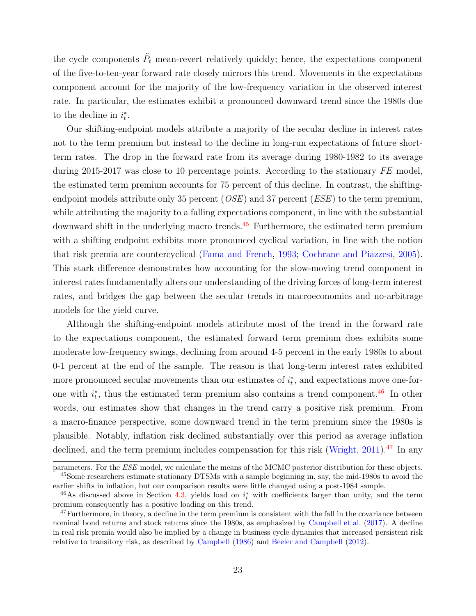the cycle components  $\tilde{P}_t$  mean-revert relatively quickly; hence, the expectations component of the five-to-ten-year forward rate closely mirrors this trend. Movements in the expectations component account for the majority of the low-frequency variation in the observed interest rate. In particular, the estimates exhibit a pronounced downward trend since the 1980s due to the decline in  $i_t^*$ .

Our shifting-endpoint models attribute a majority of the secular decline in interest rates not to the term premium but instead to the decline in long-run expectations of future shortterm rates. The drop in the forward rate from its average during 1980-1982 to its average during 2015-2017 was close to 10 percentage points. According to the stationary FE model, the estimated term premium accounts for 75 percent of this decline. In contrast, the shiftingendpoint models attribute only 35 percent ( $OSE$ ) and 37 percent ( $ESE$ ) to the term premium, while attributing the majority to a falling expectations component, in line with the substantial downward shift in the underlying macro trends.<sup>[45](#page-24-0)</sup> Furthermore, the estimated term premium with a shifting endpoint exhibits more pronounced cyclical variation, in line with the notion that risk premia are countercyclical [\(Fama and French,](#page-31-10) [1993;](#page-31-10) [Cochrane and Piazzesi,](#page-30-3) [2005\)](#page-30-3). This stark difference demonstrates how accounting for the slow-moving trend component in interest rates fundamentally alters our understanding of the driving forces of long-term interest rates, and bridges the gap between the secular trends in macroeconomics and no-arbitrage models for the yield curve.

Although the shifting-endpoint models attribute most of the trend in the forward rate to the expectations component, the estimated forward term premium does exhibits some moderate low-frequency swings, declining from around 4-5 percent in the early 1980s to about 0-1 percent at the end of the sample. The reason is that long-term interest rates exhibited more pronounced secular movements than our estimates of  $i_t^*$ , and expectations move one-forone with  $i_t^*$ , thus the estimated term premium also contains a trend component.<sup>[46](#page-24-1)</sup> In other words, our estimates show that changes in the trend carry a positive risk premium. From a macro-finance perspective, some downward trend in the term premium since the 1980s is plausible. Notably, inflation risk declined substantially over this period as average inflation declined, and the term premium includes compensation for this risk [\(Wright,](#page-35-1) [2011\)](#page-35-1).<sup>[47](#page-24-2)</sup> In any

<span id="page-24-0"></span>parameters. For the ESE model, we calculate the means of the MCMC posterior distribution for these objects. <sup>45</sup>Some researchers estimate stationary DTSMs with a sample beginning in, say, the mid-1980s to avoid the earlier shifts in inflation, but our comparison results were little changed using a post-1984 sample.

<span id="page-24-1"></span><sup>&</sup>lt;sup>46</sup>As discussed above in Section [4.3,](#page-20-0) yields load on  $i_t^*$  with coefficients larger than unity, and the term premium consequently has a positive loading on this trend.

<span id="page-24-2"></span> $47$  Furthermore, in theory, a decline in the term premium is consistent with the fall in the covariance between nominal bond returns and stock returns since the 1980s, as emphasized by [Campbell et al.](#page-30-5) [\(2017\)](#page-30-5). A decline in real risk premia would also be implied by a change in business cycle dynamics that increased persistent risk relative to transitory risk, as described by [Campbell](#page-29-9) [\(1986\)](#page-29-9) and [Beeler and Campbell](#page-29-10) [\(2012\)](#page-29-10).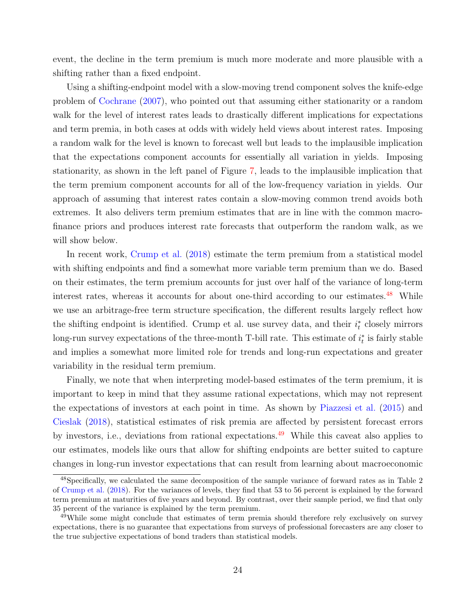event, the decline in the term premium is much more moderate and more plausible with a shifting rather than a fixed endpoint.

Using a shifting-endpoint model with a slow-moving trend component solves the knife-edge problem of [Cochrane](#page-30-11) [\(2007\)](#page-30-11), who pointed out that assuming either stationarity or a random walk for the level of interest rates leads to drastically different implications for expectations and term premia, in both cases at odds with widely held views about interest rates. Imposing a random walk for the level is known to forecast well but leads to the implausible implication that the expectations component accounts for essentially all variation in yields. Imposing stationarity, as shown in the left panel of Figure [7,](#page-51-0) leads to the implausible implication that the term premium component accounts for all of the low-frequency variation in yields. Our approach of assuming that interest rates contain a slow-moving common trend avoids both extremes. It also delivers term premium estimates that are in line with the common macrofinance priors and produces interest rate forecasts that outperform the random walk, as we will show below.

In recent work, [Crump et al.](#page-30-6) [\(2018\)](#page-30-6) estimate the term premium from a statistical model with shifting endpoints and find a somewhat more variable term premium than we do. Based on their estimates, the term premium accounts for just over half of the variance of long-term interest rates, whereas it accounts for about one-third according to our estimates.<sup>[48](#page-25-0)</sup> While we use an arbitrage-free term structure specification, the different results largely reflect how the shifting endpoint is identified. Crump et al. use survey data, and their  $i_t^*$  closely mirrors long-run survey expectations of the three-month T-bill rate. This estimate of  $i_t^*$  is fairly stable and implies a somewhat more limited role for trends and long-run expectations and greater variability in the residual term premium.

Finally, we note that when interpreting model-based estimates of the term premium, it is important to keep in mind that they assume rational expectations, which may not represent the expectations of investors at each point in time. As shown by [Piazzesi et al.](#page-34-11) [\(2015\)](#page-34-11) and [Cieslak](#page-30-12) [\(2018\)](#page-30-12), statistical estimates of risk premia are affected by persistent forecast errors by investors, i.e., deviations from rational expectations.<sup>[49](#page-25-1)</sup> While this caveat also applies to our estimates, models like ours that allow for shifting endpoints are better suited to capture changes in long-run investor expectations that can result from learning about macroeconomic

<span id="page-25-0"></span><sup>48</sup>Specifically, we calculated the same decomposition of the sample variance of forward rates as in Table 2 of [Crump et al.](#page-30-6) [\(2018\)](#page-30-6). For the variances of levels, they find that 53 to 56 percent is explained by the forward term premium at maturities of five years and beyond. By contrast, over their sample period, we find that only 35 percent of the variance is explained by the term premium.

<span id="page-25-1"></span><sup>49</sup>While some might conclude that estimates of term premia should therefore rely exclusively on survey expectations, there is no guarantee that expectations from surveys of professional forecasters are any closer to the true subjective expectations of bond traders than statistical models.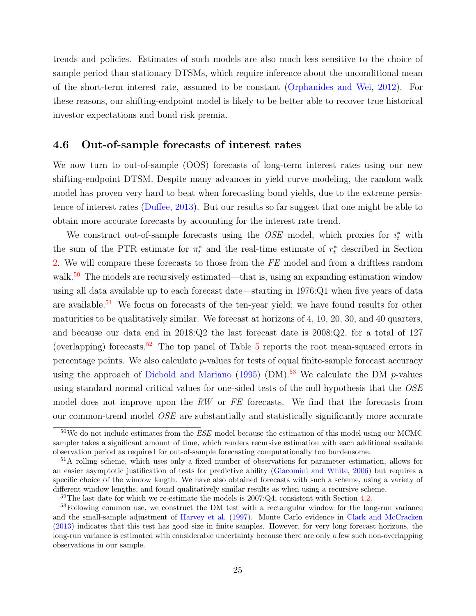trends and policies. Estimates of such models are also much less sensitive to the choice of sample period than stationary DTSMs, which require inference about the unconditional mean of the short-term interest rate, assumed to be constant [\(Orphanides and Wei,](#page-34-12) [2012\)](#page-34-12). For these reasons, our shifting-endpoint model is likely to be better able to recover true historical investor expectations and bond risk premia.

#### <span id="page-26-0"></span>4.6 Out-of-sample forecasts of interest rates

We now turn to out-of-sample (OOS) forecasts of long-term interest rates using our new shifting-endpoint DTSM. Despite many advances in yield curve modeling, the random walk model has proven very hard to beat when forecasting bond yields, due to the extreme persistence of interest rates [\(Duffee,](#page-31-2) [2013\)](#page-31-2). But our results so far suggest that one might be able to obtain more accurate forecasts by accounting for the interest rate trend.

We construct out-of-sample forecasts using the  $OSE$  model, which proxies for  $i_t^*$  with the sum of the PTR estimate for  $\pi_t^*$  and the real-time estimate of  $r_t^*$  described in Section [2.](#page-7-0) We will compare these forecasts to those from the FE model and from a driftless random walk.<sup>[50](#page-26-1)</sup> The models are recursively estimated—that is, using an expanding estimation window using all data available up to each forecast date—starting in 1976:Q1 when five years of data are available.<sup>[51](#page-26-2)</sup> We focus on forecasts of the ten-year yield; we have found results for other maturities to be qualitatively similar. We forecast at horizons of 4, 10, 20, 30, and 40 quarters, and because our data end in 2018:Q2 the last forecast date is 2008:Q2, for a total of 127 (overlapping) forecasts.<sup>[52](#page-26-3)</sup> The top panel of Table [5](#page-44-0) reports the root mean-squared errors in percentage points. We also calculate p-values for tests of equal finite-sample forecast accuracy using the approach of [Diebold and Mariano](#page-31-11) [\(1995\)](#page-31-11) (DM).<sup>[53](#page-26-4)</sup> We calculate the DM  $p$ -values using standard normal critical values for one-sided tests of the null hypothesis that the OSE model does not improve upon the RW or FE forecasts. We find that the forecasts from our common-trend model OSE are substantially and statistically significantly more accurate

<span id="page-26-1"></span> $50W$ e do not include estimates from the *ESE* model because the estimation of this model using our MCMC sampler takes a significant amount of time, which renders recursive estimation with each additional available observation period as required for out-of-sample forecasting computationally too burdensome.

<span id="page-26-2"></span><sup>&</sup>lt;sup>51</sup>A rolling scheme, which uses only a fixed number of observations for parameter estimation, allows for an easier asymptotic justification of tests for predictive ability [\(Giacomini and White,](#page-32-11) [2006\)](#page-32-11) but requires a specific choice of the window length. We have also obtained forecasts with such a scheme, using a variety of different window lengths, and found qualitatively similar results as when using a recursive scheme.

<span id="page-26-4"></span><span id="page-26-3"></span> $52$ The last date for which we re-estimate the models is 2007:Q4, consistent with Section [4.2.](#page-18-2)

<sup>&</sup>lt;sup>53</sup>Following common use, we construct the DM test with a rectangular window for the long-run variance and the small-sample adjustment of [Harvey et al.](#page-32-12) [\(1997\)](#page-32-12). Monte Carlo evidence in [Clark and McCracken](#page-30-7) [\(2013\)](#page-30-7) indicates that this test has good size in finite samples. However, for very long forecast horizons, the long-run variance is estimated with considerable uncertainty because there are only a few such non-overlapping observations in our sample.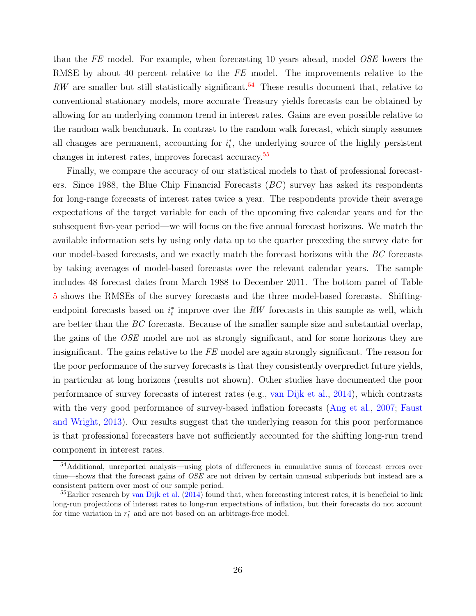than the FE model. For example, when forecasting 10 years ahead, model OSE lowers the RMSE by about 40 percent relative to the FE model. The improvements relative to the  $RW$  are smaller but still statistically significant.<sup>[54](#page-27-0)</sup> These results document that, relative to conventional stationary models, more accurate Treasury yields forecasts can be obtained by allowing for an underlying common trend in interest rates. Gains are even possible relative to the random walk benchmark. In contrast to the random walk forecast, which simply assumes all changes are permanent, accounting for  $i_t^*$ , the underlying source of the highly persistent changes in interest rates, improves forecast accuracy.<sup>[55](#page-27-1)</sup>

Finally, we compare the accuracy of our statistical models to that of professional forecasters. Since 1988, the Blue Chip Financial Forecasts  $(BC)$  survey has asked its respondents for long-range forecasts of interest rates twice a year. The respondents provide their average expectations of the target variable for each of the upcoming five calendar years and for the subsequent five-year period—we will focus on the five annual forecast horizons. We match the available information sets by using only data up to the quarter preceding the survey date for our model-based forecasts, and we exactly match the forecast horizons with the BC forecasts by taking averages of model-based forecasts over the relevant calendar years. The sample includes 48 forecast dates from March 1988 to December 2011. The bottom panel of Table [5](#page-44-0) shows the RMSEs of the survey forecasts and the three model-based forecasts. Shiftingendpoint forecasts based on  $i_t^*$  improve over the RW forecasts in this sample as well, which are better than the BC forecasts. Because of the smaller sample size and substantial overlap, the gains of the OSE model are not as strongly significant, and for some horizons they are insignificant. The gains relative to the  $FE$  model are again strongly significant. The reason for the poor performance of the survey forecasts is that they consistently overpredict future yields, in particular at long horizons (results not shown). Other studies have documented the poor performance of survey forecasts of interest rates (e.g., [van Dijk et al.,](#page-35-2) [2014\)](#page-35-2), which contrasts with the very good performance of survey-based inflation forecasts [\(Ang et al.,](#page-29-11) [2007;](#page-29-11) [Faust](#page-31-7) [and Wright,](#page-31-7) [2013\)](#page-31-7). Our results suggest that the underlying reason for this poor performance is that professional forecasters have not sufficiently accounted for the shifting long-run trend component in interest rates.

<span id="page-27-0"></span><sup>54</sup>Additional, unreported analysis—using plots of differences in cumulative sums of forecast errors over time—shows that the forecast gains of OSE are not driven by certain unusual subperiods but instead are a consistent pattern over most of our sample period.

<span id="page-27-1"></span> $55$ Earlier research by [van Dijk et al.](#page-35-2) [\(2014\)](#page-35-2) found that, when forecasting interest rates, it is beneficial to link long-run projections of interest rates to long-run expectations of inflation, but their forecasts do not account for time variation in  $r_t^*$  and are not based on an arbitrage-free model.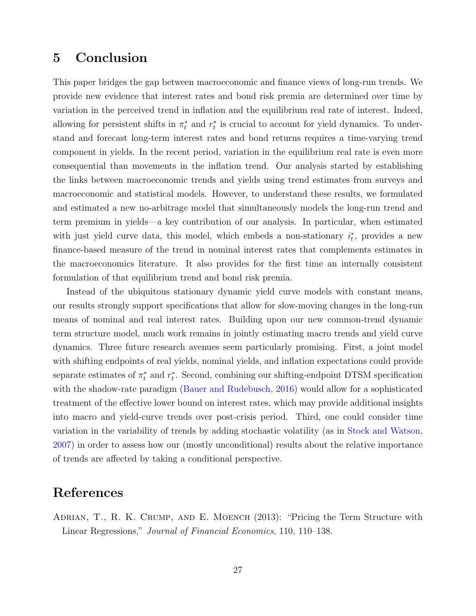## <span id="page-28-1"></span>5 Conclusion

This paper bridges the gap between macroeconomic and finance views of long-run trends. We provide new evidence that interest rates and bond risk premia are determined over time by variation in the perceived trend in inflation and the equilibrium real rate of interest. Indeed, allowing for persistent shifts in  $\pi_t^*$  and  $r_t^*$  is crucial to account for yield dynamics. To understand and forecast long-term interest rates and bond returns requires a time-varying trend component in yields. In the recent period, variation in the equilibrium real rate is even more consequential than movements in the inflation trend. Our analysis started by establishing the links between macroeconomic trends and yields using trend estimates from surveys and macroeconomic and statistical models. However, to understand these results, we formulated and estimated a new no-arbitrage model that simultaneously models the long-run trend and term premium in yields—a key contribution of our analysis. In particular, when estimated with just yield curve data, this model, which embeds a non-stationary  $i_t^*$ , provides a new finance-based measure of the trend in nominal interest rates that complements estimates in the macroeconomics literature. It also provides for the first time an internally consistent formulation of that equilibrium trend and bond risk premia.

Instead of the ubiquitous stationary dynamic yield curve models with constant means, our results strongly support specifications that allow for slow-moving changes in the long-run means of nominal and real interest rates. Building upon our new common-trend dynamic term structure model, much work remains in jointly estimating macro trends and yield curve dynamics. Three future research avenues seem particularly promising. First, a joint model with shifting endpoints of real yields, nominal yields, and inflation expectations could provide separate estimates of  $\pi_t^*$  and  $r_t^*$ . Second, combining our shifting-endpoint DTSM specification with the shadow-rate paradigm [\(Bauer and Rudebusch,](#page-29-8) [2016\)](#page-29-8) would allow for a sophisticated treatment of the effective lower bound on interest rates, which may provide additional insights into macro and yield-curve trends over post-crisis period. Third, one could consider time variation in the variability of trends by adding stochastic volatility (as in [Stock and Watson,](#page-35-5) [2007\)](#page-35-5) in order to assess how our (mostly unconditional) results about the relative importance of trends are affected by taking a conditional perspective.

# References

<span id="page-28-0"></span>Adrian, T., R. K. Crump, and E. Moench (2013): "Pricing the Term Structure with Linear Regressions," Journal of Financial Economics, 110, 110–138.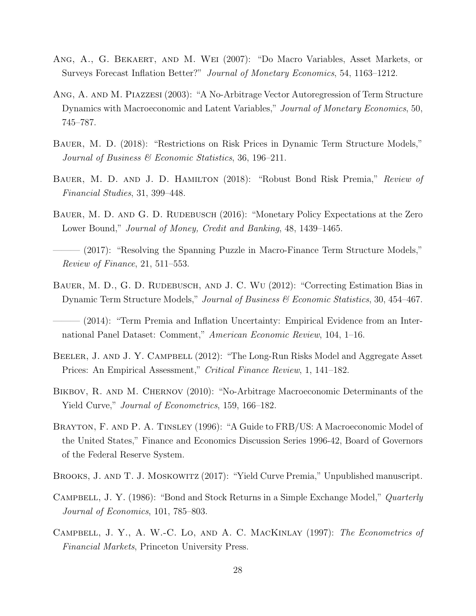- <span id="page-29-11"></span>Ang, A., G. Bekaert, and M. Wei (2007): "Do Macro Variables, Asset Markets, or Surveys Forecast Inflation Better?" Journal of Monetary Economics, 54, 1163–1212.
- <span id="page-29-0"></span>Ang, A. and M. Piazzesi (2003): "A No-Arbitrage Vector Autoregression of Term Structure Dynamics with Macroeconomic and Latent Variables," Journal of Monetary Economics, 50, 745–787.
- <span id="page-29-6"></span>Bauer, M. D. (2018): "Restrictions on Risk Prices in Dynamic Term Structure Models," Journal of Business & Economic Statistics, 36, 196–211.
- <span id="page-29-3"></span>BAUER, M. D. AND J. D. HAMILTON (2018): "Robust Bond Risk Premia," Review of Financial Studies, 31, 399–448.
- <span id="page-29-8"></span>BAUER, M. D. AND G. D. RUDEBUSCH (2016): "Monetary Policy Expectations at the Zero Lower Bound," Journal of Money, Credit and Banking, 48, 1439–1465.
- <span id="page-29-2"></span>——— (2017): "Resolving the Spanning Puzzle in Macro-Finance Term Structure Models," Review of Finance, 21, 511–553.
- <span id="page-29-7"></span>BAUER, M. D., G. D. RUDEBUSCH, AND J. C. WU (2012): "Correcting Estimation Bias in Dynamic Term Structure Models," Journal of Business & Economic Statistics, 30, 454-467.
- <span id="page-29-5"></span>– (2014): "Term Premia and Inflation Uncertainty: Empirical Evidence from an International Panel Dataset: Comment," American Economic Review, 104, 1–16.
- <span id="page-29-10"></span>BEELER, J. AND J. Y. CAMPBELL (2012): "The Long-Run Risks Model and Aggregate Asset Prices: An Empirical Assessment," Critical Finance Review, 1, 141–182.
- <span id="page-29-1"></span>BIKBOV, R. AND M. CHERNOV (2010): "No-Arbitrage Macroeconomic Determinants of the Yield Curve," Journal of Econometrics, 159, 166–182.
- <span id="page-29-12"></span>BRAYTON, F. AND P. A. TINSLEY (1996): "A Guide to FRB/US: A Macroeconomic Model of the United States," Finance and Economics Discussion Series 1996-42, Board of Governors of the Federal Reserve System.
- <span id="page-29-4"></span>Brooks, J. and T. J. Moskowitz (2017): "Yield Curve Premia," Unpublished manuscript.
- <span id="page-29-9"></span>CAMPBELL, J. Y. (1986): "Bond and Stock Returns in a Simple Exchange Model," *Quarterly* Journal of Economics, 101, 785–803.
- <span id="page-29-13"></span>CAMPBELL, J. Y., A. W.-C. LO, AND A. C. MACKINLAY (1997): The Econometrics of Financial Markets, Princeton University Press.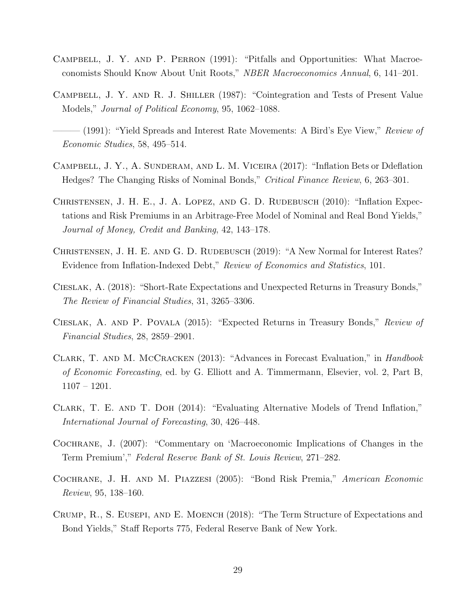- <span id="page-30-9"></span>Campbell, J. Y. and P. Perron (1991): "Pitfalls and Opportunities: What Macroeconomists Should Know About Unit Roots," NBER Macroeconomics Annual, 6, 141–201.
- <span id="page-30-0"></span>Campbell, J. Y. and R. J. Shiller (1987): "Cointegration and Tests of Present Value Models," Journal of Political Economy, 95, 1062–1088.
- <span id="page-30-2"></span> $(1991)$ : "Yield Spreads and Interest Rate Movements: A Bird's Eye View," Review of Economic Studies, 58, 495–514.
- <span id="page-30-5"></span>Campbell, J. Y., A. Sunderam, and L. M. Viceira (2017): "Inflation Bets or Ddeflation Hedges? The Changing Risks of Nominal Bonds," Critical Finance Review, 6, 263–301.
- <span id="page-30-10"></span>CHRISTENSEN, J. H. E., J. A. LOPEZ, AND G. D. RUDEBUSCH (2010): "Inflation Expectations and Risk Premiums in an Arbitrage-Free Model of Nominal and Real Bond Yields," Journal of Money, Credit and Banking, 42, 143–178.
- <span id="page-30-4"></span>CHRISTENSEN, J. H. E. AND G. D. RUDEBUSCH (2019): "A New Normal for Interest Rates? Evidence from Inflation-Indexed Debt," Review of Economics and Statistics, 101.
- <span id="page-30-12"></span>Cieslak, A. (2018): "Short-Rate Expectations and Unexpected Returns in Treasury Bonds," The Review of Financial Studies, 31, 3265–3306.
- <span id="page-30-1"></span>Cieslak, A. and P. Povala (2015): "Expected Returns in Treasury Bonds," Review of Financial Studies, 28, 2859–2901.
- <span id="page-30-7"></span>Clark, T. and M. McCracken (2013): "Advances in Forecast Evaluation," in Handbook of Economic Forecasting, ed. by G. Elliott and A. Timmermann, Elsevier, vol. 2, Part B, 1107 – 1201.
- <span id="page-30-8"></span>Clark, T. E. and T. Doh (2014): "Evaluating Alternative Models of Trend Inflation," International Journal of Forecasting, 30, 426–448.
- <span id="page-30-11"></span>Cochrane, J. (2007): "Commentary on 'Macroeconomic Implications of Changes in the Term Premium'," Federal Reserve Bank of St. Louis Review, 271–282.
- <span id="page-30-3"></span>Cochrane, J. H. and M. Piazzesi (2005): "Bond Risk Premia," American Economic Review, 95, 138–160.
- <span id="page-30-6"></span>Crump, R., S. Eusepi, and E. Moench (2018): "The Term Structure of Expectations and Bond Yields," Staff Reports 775, Federal Reserve Bank of New York.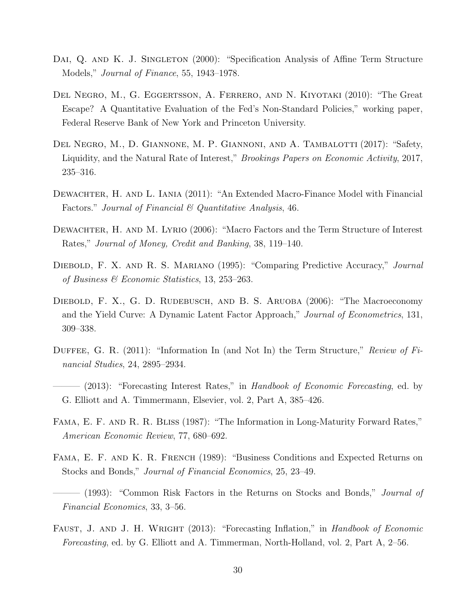- <span id="page-31-8"></span>DAI, Q. AND K. J. SINGLETON (2000): "Specification Analysis of Affine Term Structure Models," *Journal of Finance*, 55, 1943–1978.
- <span id="page-31-12"></span>Del Negro, M., G. Eggertsson, A. Ferrero, and N. Kiyotaki (2010): "The Great Escape? A Quantitative Evaluation of the Fed's Non-Standard Policies," working paper, Federal Reserve Bank of New York and Princeton University.
- <span id="page-31-3"></span>DEL NEGRO, M., D. GIANNONE, M. P. GIANNONI, AND A. TAMBALOTTI (2017): "Safety, Liquidity, and the Natural Rate of Interest," *Brookings Papers on Economic Activity*, 2017, 235–316.
- <span id="page-31-6"></span>DEWACHTER, H. AND L. IANIA (2011): "An Extended Macro-Finance Model with Financial Factors." Journal of Financial  $\mathcal C$  Quantitative Analysis, 46.
- <span id="page-31-5"></span>DEWACHTER, H. AND M. LYRIO (2006): "Macro Factors and the Term Structure of Interest Rates," Journal of Money, Credit and Banking, 38, 119–140.
- <span id="page-31-11"></span>DIEBOLD, F. X. AND R. S. MARIANO (1995): "Comparing Predictive Accuracy," Journal of Business & Economic Statistics, 13, 253–263.
- <span id="page-31-0"></span>DIEBOLD, F. X., G. D. RUDEBUSCH, AND B. S. ARUOBA (2006): "The Macroeconomy and the Yield Curve: A Dynamic Latent Factor Approach," Journal of Econometrics, 131, 309–338.
- <span id="page-31-9"></span>DUFFEE, G. R. (2011): "Information In (and Not In) the Term Structure," Review of Financial Studies, 24, 2895–2934.
- <span id="page-31-2"></span> $-$  (2013): "Forecasting Interest Rates," in Handbook of Economic Forecasting, ed. by G. Elliott and A. Timmermann, Elsevier, vol. 2, Part A, 385–426.
- <span id="page-31-1"></span>Fama, E. F. and R. R. Bliss (1987): "The Information in Long-Maturity Forward Rates," American Economic Review, 77, 680–692.
- <span id="page-31-4"></span>Fama, E. F. and K. R. French (1989): "Business Conditions and Expected Returns on Stocks and Bonds," Journal of Financial Economics, 25, 23–49.
- <span id="page-31-10"></span>– (1993): "Common Risk Factors in the Returns on Stocks and Bonds," *Journal of* Financial Economics, 33, 3–56.
- <span id="page-31-7"></span>FAUST, J. AND J. H. WRIGHT (2013): "Forecasting Inflation," in *Handbook of Economic* Forecasting, ed. by G. Elliott and A. Timmerman, North-Holland, vol. 2, Part A, 2–56.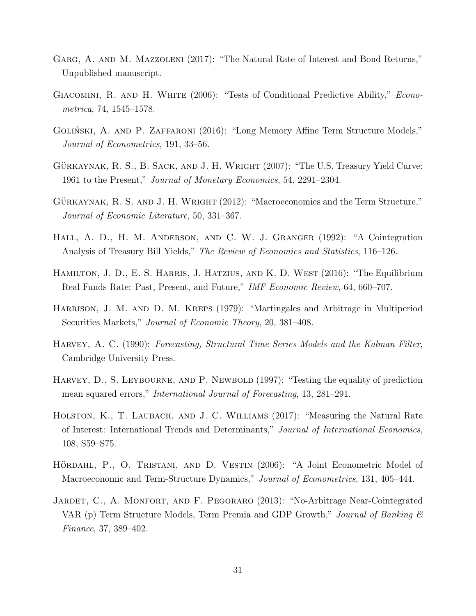- <span id="page-32-3"></span>GARG, A. AND M. MAZZOLENI (2017): "The Natural Rate of Interest and Bond Returns," Unpublished manuscript.
- <span id="page-32-11"></span>Giacomini, R. and H. White (2006): "Tests of Conditional Predictive Ability," Econometrica, 74, 1545–1578.
- <span id="page-32-7"></span>GOLIŃSKI, A. AND P. ZAFFARONI (2016): "Long Memory Affine Term Structure Models," Journal of Econometrics, 191, 33–56.
- <span id="page-32-8"></span>GÜRKAYNAK, R. S., B. SACK, AND J. H. WRIGHT  $(2007)$ : "The U.S. Treasury Yield Curve: 1961 to the Present," Journal of Monetary Economics, 54, 2291–2304.
- <span id="page-32-0"></span>GÜRKAYNAK, R. S. AND J. H. WRIGHT (2012): "Macroeconomics and the Term Structure," Journal of Economic Literature, 50, 331–367.
- <span id="page-32-1"></span>Hall, A. D., H. M. Anderson, and C. W. J. Granger (1992): "A Cointegration Analysis of Treasury Bill Yields," The Review of Economics and Statistics, 116–126.
- <span id="page-32-4"></span>HAMILTON, J. D., E. S. HARRIS, J. HATZIUS, AND K. D. WEST (2016): "The Equilibrium Real Funds Rate: Past, Present, and Future," IMF Economic Review, 64, 660–707.
- <span id="page-32-9"></span>Harrison, J. M. and D. M. Kreps (1979): "Martingales and Arbitrage in Multiperiod Securities Markets," *Journal of Economic Theory*, 20, 381–408.
- <span id="page-32-10"></span>Harvey, A. C. (1990): Forecasting, Structural Time Series Models and the Kalman Filter, Cambridge University Press.
- <span id="page-32-12"></span>HARVEY, D., S. LEYBOURNE, AND P. NEWBOLD (1997): "Testing the equality of prediction mean squared errors," International Journal of Forecasting, 13, 281–291.
- <span id="page-32-2"></span>HOLSTON, K., T. LAUBACH, AND J. C. WILLIAMS (2017): "Measuring the Natural Rate of Interest: International Trends and Determinants," Journal of International Economics, 108, S59–S75.
- <span id="page-32-5"></span>HÖRDAHL, P., O. TRISTANI, AND D. VESTIN (2006): "A Joint Econometric Model of Macroeconomic and Term-Structure Dynamics," Journal of Econometrics, 131, 405–444.
- <span id="page-32-6"></span>JARDET, C., A. MONFORT, AND F. PEGORARO (2013): "No-Arbitrage Near-Cointegrated VAR (p) Term Structure Models, Term Premia and GDP Growth," Journal of Banking  $\mathcal{B}$ Finance, 37, 389–402.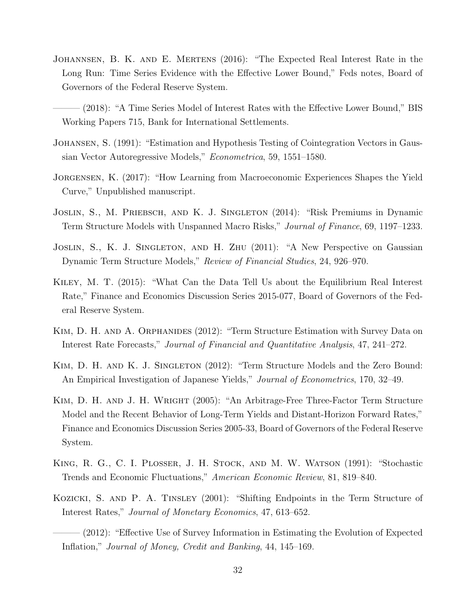- <span id="page-33-4"></span>JOHANNSEN, B. K. AND E. MERTENS (2016): "The Expected Real Interest Rate in the Long Run: Time Series Evidence with the Effective Lower Bound," Feds notes, Board of Governors of the Federal Reserve System.
- <span id="page-33-5"></span>– (2018): "A Time Series Model of Interest Rates with the Effective Lower Bound," BIS Working Papers 715, Bank for International Settlements.
- <span id="page-33-10"></span>Johansen, S. (1991): "Estimation and Hypothesis Testing of Cointegration Vectors in Gaussian Vector Autoregressive Models," Econometrica, 59, 1551–1580.
- <span id="page-33-6"></span>Jorgensen, K. (2017): "How Learning from Macroeconomic Experiences Shapes the Yield Curve," Unpublished manuscript.
- <span id="page-33-8"></span>Joslin, S., M. Priebsch, and K. J. Singleton (2014): "Risk Premiums in Dynamic Term Structure Models with Unspanned Macro Risks," Journal of Finance, 69, 1197–1233.
- <span id="page-33-1"></span>JOSLIN, S., K. J. SINGLETON, AND H. ZHU (2011): "A New Perspective on Gaussian Dynamic Term Structure Models," Review of Financial Studies, 24, 926–970.
- <span id="page-33-3"></span>Kiley, M. T. (2015): "What Can the Data Tell Us about the Equilibrium Real Interest Rate," Finance and Economics Discussion Series 2015-077, Board of Governors of the Federal Reserve System.
- <span id="page-33-7"></span>KIM, D. H. AND A. ORPHANIDES (2012): "Term Structure Estimation with Survey Data on Interest Rate Forecasts," Journal of Financial and Quantitative Analysis, 47, 241–272.
- <span id="page-33-12"></span>KIM, D. H. AND K. J. SINGLETON (2012): "Term Structure Models and the Zero Bound: An Empirical Investigation of Japanese Yields," *Journal of Econometrics*, 170, 32–49.
- <span id="page-33-0"></span>Kim, D. H. and J. H. Wright (2005): "An Arbitrage-Free Three-Factor Term Structure Model and the Recent Behavior of Long-Term Yields and Distant-Horizon Forward Rates," Finance and Economics Discussion Series 2005-33, Board of Governors of the Federal Reserve System.
- <span id="page-33-9"></span>King, R. G., C. I. Plosser, J. H. Stock, and M. W. Watson (1991): "Stochastic Trends and Economic Fluctuations," American Economic Review, 81, 819–840.
- <span id="page-33-2"></span>Kozicki, S. and P. A. Tinsley (2001): "Shifting Endpoints in the Term Structure of Interest Rates," Journal of Monetary Economics, 47, 613–652.
- <span id="page-33-11"></span> $(2012)$ : "Effective Use of Survey Information in Estimating the Evolution of Expected Inflation," Journal of Money, Credit and Banking, 44, 145–169.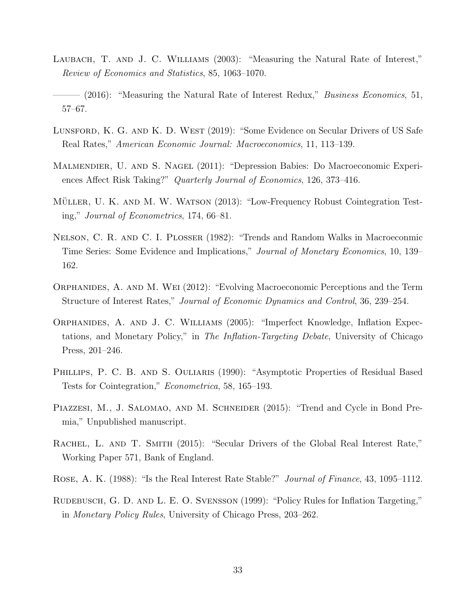- <span id="page-34-0"></span>LAUBACH, T. AND J. C. WILLIAMS (2003): "Measuring the Natural Rate of Interest," Review of Economics and Statistics, 85, 1063–1070.
- <span id="page-34-1"></span> $-$  (2016): "Measuring the Natural Rate of Interest Redux," *Business Economics*, 51, 57–67.
- <span id="page-34-3"></span>Lunsford, K. G. and K. D. West (2019): "Some Evidence on Secular Drivers of US Safe Real Rates," American Economic Journal: Macroeconomics, 11, 113–139.
- <span id="page-34-5"></span>Malmendier, U. and S. Nagel (2011): "Depression Babies: Do Macroeconomic Experiences Affect Risk Taking?" Quarterly Journal of Economics, 126, 373–416.
- <span id="page-34-9"></span>MÜLLER, U. K. AND M. W. WATSON (2013): "Low-Frequency Robust Cointegration Testing," Journal of Econometrics, 174, 66–81.
- <span id="page-34-7"></span>Nelson, C. R. and C. I. Plosser (1982): "Trends and Random Walks in Macroeconmic Time Series: Some Evidence and Implications," Journal of Monetary Economics, 10, 139– 162.
- <span id="page-34-12"></span>Orphanides, A. and M. Wei (2012): "Evolving Macroeconomic Perceptions and the Term Structure of Interest Rates," Journal of Economic Dynamics and Control, 36, 239–254.
- <span id="page-34-6"></span>Orphanides, A. and J. C. Williams (2005): "Imperfect Knowledge, Inflation Expectations, and Monetary Policy," in The Inflation-Targeting Debate, University of Chicago Press, 201–246.
- <span id="page-34-10"></span>PHILLIPS, P. C. B. AND S. OULIARIS (1990): "Asymptotic Properties of Residual Based Tests for Cointegration," Econometrica, 58, 165–193.
- <span id="page-34-11"></span>PIAZZESI, M., J. SALOMAO, AND M. SCHNEIDER (2015): "Trend and Cycle in Bond Premia," Unpublished manuscript.
- <span id="page-34-2"></span>RACHEL, L. AND T. SMITH (2015): "Secular Drivers of the Global Real Interest Rate," Working Paper 571, Bank of England.
- <span id="page-34-8"></span>Rose, A. K. (1988): "Is the Real Interest Rate Stable?" Journal of Finance, 43, 1095–1112.
- <span id="page-34-4"></span>RUDEBUSCH, G. D. AND L. E. O. SVENSSON (1999): "Policy Rules for Inflation Targeting," in Monetary Policy Rules, University of Chicago Press, 203–262.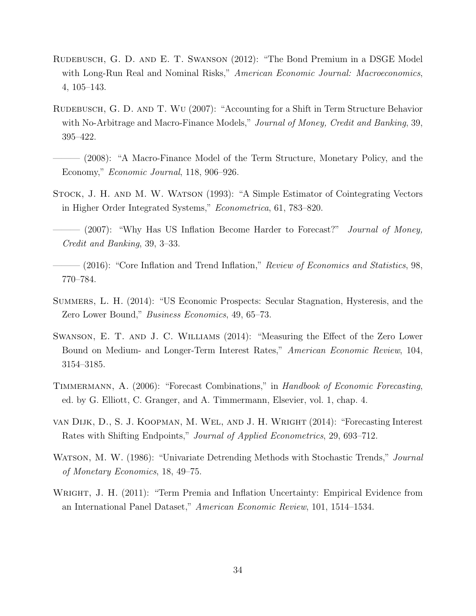- <span id="page-35-0"></span>Rudebusch, G. D. and E. T. Swanson (2012): "The Bond Premium in a DSGE Model with Long-Run Real and Nominal Risks," American Economic Journal: Macroeconomics, 4, 105–143.
- <span id="page-35-9"></span>RUDEBUSCH, G. D. AND T. WU (2007): "Accounting for a Shift in Term Structure Behavior with No-Arbitrage and Macro-Finance Models," *Journal of Money, Credit and Banking*, 39, 395–422.
- <span id="page-35-4"></span>– (2008): "A Macro-Finance Model of the Term Structure, Monetary Policy, and the Economy," Economic Journal, 118, 906–926.
- <span id="page-35-8"></span>Stock, J. H. and M. W. Watson (1993): "A Simple Estimator of Cointegrating Vectors in Higher Order Integrated Systems," Econometrica, 61, 783–820.
- <span id="page-35-5"></span>- (2007): "Why Has US Inflation Become Harder to Forecast?" *Journal of Money*, Credit and Banking, 39, 3–33.
- <span id="page-35-6"></span> $(2016)$ : "Core Inflation and Trend Inflation," Review of Economics and Statistics, 98, 770–784.
- <span id="page-35-3"></span>Summers, L. H. (2014): "US Economic Prospects: Secular Stagnation, Hysteresis, and the Zero Lower Bound," Business Economics, 49, 65–73.
- <span id="page-35-11"></span>Swanson, E. T. and J. C. Williams (2014): "Measuring the Effect of the Zero Lower Bound on Medium- and Longer-Term Interest Rates," American Economic Review, 104, 3154–3185.
- <span id="page-35-7"></span>TIMMERMANN, A. (2006): "Forecast Combinations," in Handbook of Economic Forecasting, ed. by G. Elliott, C. Granger, and A. Timmermann, Elsevier, vol. 1, chap. 4.
- <span id="page-35-2"></span>van Dijk, D., S. J. Koopman, M. Wel, and J. H. Wright (2014): "Forecasting Interest Rates with Shifting Endpoints," Journal of Applied Econometrics, 29, 693–712.
- <span id="page-35-10"></span>WATSON, M. W. (1986): "Univariate Detrending Methods with Stochastic Trends," *Journal* of Monetary Economics, 18, 49–75.
- <span id="page-35-1"></span>WRIGHT, J. H. (2011): "Term Premia and Inflation Uncertainty: Empirical Evidence from an International Panel Dataset," American Economic Review, 101, 1514–1534.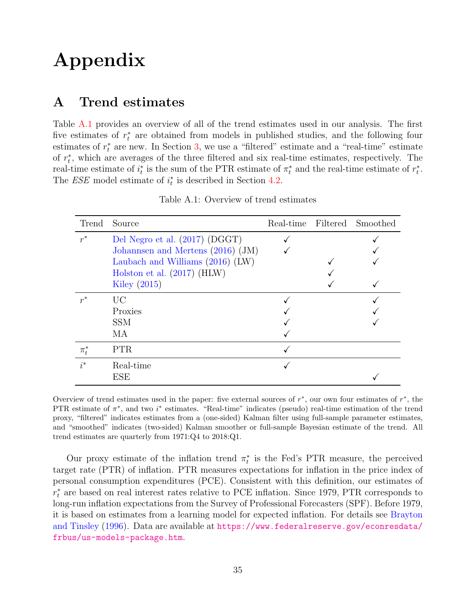# Appendix

## <span id="page-36-0"></span>A Trend estimates

Table [A.1](#page-36-1) provides an overview of all of the trend estimates used in our analysis. The first five estimates of  $r_t^*$  are obtained from models in published studies, and the following four estimates of  $r_t^*$  are new. In Section [3,](#page-10-0) we use a "filtered" estimate and a "real-time" estimate of  $r_t^*$ , which are averages of the three filtered and six real-time estimates, respectively. The real-time estimate of  $i_t^*$  is the sum of the PTR estimate of  $\pi_t^*$  and the real-time estimate of  $r_t^*$ . The *ESE* model estimate of  $i_t^*$  is described in Section [4.2.](#page-18-2)

| Trend     | Source                              |  | Real-time Filtered Smoothed |
|-----------|-------------------------------------|--|-----------------------------|
| $r^*$     | Del Negro et al. (2017) (DGGT)      |  |                             |
|           | Johannsen and Mertens $(2016)$ (JM) |  |                             |
|           | Laubach and Williams $(2016)$ (LW)  |  |                             |
|           | Holston et al. $(2017)$ (HLW)       |  |                             |
|           | Kiley $(2015)$                      |  |                             |
| $r^*$     | <b>UC</b>                           |  |                             |
|           | Proxies                             |  |                             |
|           | <b>SSM</b>                          |  |                             |
|           | MA                                  |  |                             |
| $\pi_t^*$ | PTR.                                |  |                             |
| $i^*$     | Real-time                           |  |                             |
|           | ESE                                 |  |                             |

<span id="page-36-1"></span>Table A.1: Overview of trend estimates

Overview of trend estimates used in the paper: five external sources of  $r^*$ , our own four estimates of  $r^*$ , the PTR estimate of  $\pi^*$ , and two  $i^*$  estimates. "Real-time" indicates (pseudo) real-time estimation of the trend proxy, "filtered" indicates estimates from a (one-sided) Kalman filter using full-sample parameter estimates, and "smoothed" indicates (two-sided) Kalman smoother or full-sample Bayesian estimate of the trend. All trend estimates are quarterly from 1971:Q4 to 2018:Q1.

Our proxy estimate of the inflation trend  $\pi_t^*$  is the Fed's PTR measure, the perceived target rate (PTR) of inflation. PTR measures expectations for inflation in the price index of personal consumption expenditures (PCE). Consistent with this definition, our estimates of  $r_t^*$  are based on real interest rates relative to PCE inflation. Since 1979, PTR corresponds to long-run inflation expectations from the Survey of Professional Forecasters (SPF). Before 1979, it is based on estimates from a learning model for expected inflation. For details see [Brayton](#page-29-12) [and Tinsley](#page-29-12) [\(1996\)](#page-29-12). Data are available at [https://www.federalreserve.gov/econresdata/](https://www.federalreserve.gov/econresdata/frbus/us-models-package.htm) [frbus/us-models-package.htm](https://www.federalreserve.gov/econresdata/frbus/us-models-package.htm).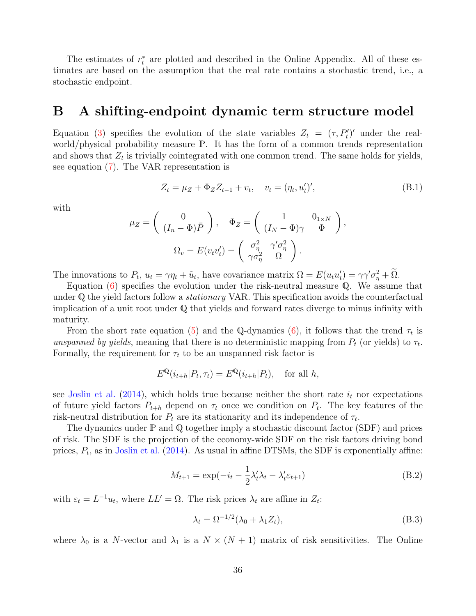The estimates of  $r_t^*$  are plotted and described in the Online Appendix. All of these estimates are based on the assumption that the real rate contains a stochastic trend, i.e., a stochastic endpoint.

### <span id="page-37-0"></span>B A shifting-endpoint dynamic term structure model

Equation [\(3\)](#page-15-4) specifies the evolution of the state variables  $Z_t = (\tau, P'_t)'$  under the realworld/physical probability measure P. It has the form of a common trends representation and shows that  $Z_t$  is trivially cointegrated with one common trend. The same holds for yields, see equation [\(7\)](#page-20-1). The VAR representation is

$$
Z_t = \mu_Z + \Phi_Z Z_{t-1} + v_t, \quad v_t = (\eta_t, u'_t)', \tag{B.1}
$$

with

$$
\mu_Z = \begin{pmatrix} 0 \\ (I_n - \Phi)\bar{P} \end{pmatrix}, \quad \Phi_Z = \begin{pmatrix} 1 & 0_{1 \times N} \\ (I_N - \Phi)\gamma & \Phi \end{pmatrix},
$$

$$
\Omega_v = E(v_t v_t') = \begin{pmatrix} \sigma_\eta^2 & \gamma' \sigma_\eta^2 \\ \gamma \sigma_\eta^2 & \Omega \end{pmatrix}.
$$

The innovations to  $P_t$ ,  $u_t = \gamma \eta_t + \tilde{u}_t$ , have covariance matrix  $\Omega = E(u_t u'_t) = \gamma \gamma' \sigma_{\eta}^2 + \tilde{\Omega}$ .

Equation  $(6)$  specifies the evolution under the risk-neutral measure Q. We assume that under  $\mathbb Q$  the yield factors follow a *stationary* VAR. This specification avoids the counterfactual implication of a unit root under Q that yields and forward rates diverge to minus infinity with maturity.

From the short rate equation [\(5\)](#page-15-3) and the Q-dynamics [\(6\)](#page-16-0), it follows that the trend  $\tau_t$  is unspanned by yields, meaning that there is no deterministic mapping from  $P_t$  (or yields) to  $\tau_t$ . Formally, the requirement for  $\tau_t$  to be an unspanned risk factor is

$$
E^{\mathbb{Q}}(i_{t+h}|P_t, \tau_t) = E^{\mathbb{Q}}(i_{t+h}|P_t), \text{ for all } h,
$$

see [Joslin et al.](#page-33-8) [\(2014\)](#page-33-8), which holds true because neither the short rate  $i_t$  nor expectations of future yield factors  $P_{t+h}$  depend on  $\tau_t$  once we condition on  $P_t$ . The key features of the risk-neutral distribution for  $P_t$  are its stationarity and its independence of  $\tau_t$ .

The dynamics under  $\mathbb P$  and  $\mathbb Q$  together imply a stochastic discount factor (SDF) and prices of risk. The SDF is the projection of the economy-wide SDF on the risk factors driving bond prices,  $P_t$ , as in [Joslin et al.](#page-33-8) [\(2014\)](#page-33-8). As usual in affine DTSMs, the SDF is exponentially affine:

$$
M_{t+1} = \exp(-i_t - \frac{1}{2}\lambda_t'\lambda_t - \lambda_t'\varepsilon_{t+1})
$$
\n(B.2)

with  $\varepsilon_t = L^{-1}u_t$ , where  $LL' = \Omega$ . The risk prices  $\lambda_t$  are affine in  $Z_t$ :

$$
\lambda_t = \Omega^{-1/2} (\lambda_0 + \lambda_1 Z_t), \tag{B.3}
$$

where  $\lambda_0$  is a N-vector and  $\lambda_1$  is a  $N \times (N + 1)$  matrix of risk sensitivities. The Online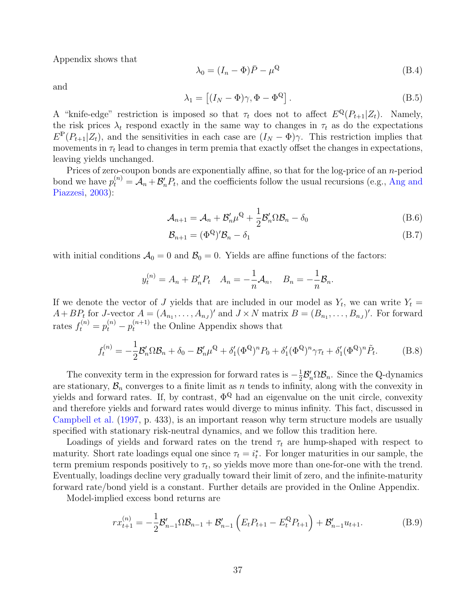Appendix shows that

$$
\lambda_0 = (I_n - \Phi)\bar{P} - \mu^{\mathbb{Q}} \tag{B.4}
$$

and

$$
\lambda_1 = \left[ (I_N - \Phi)\gamma, \Phi - \Phi^{\mathbb{Q}} \right]. \tag{B.5}
$$

A "knife-edge" restriction is imposed so that  $\tau_t$  does not to affect  $E^{\mathbb{Q}}(P_{t+1}|Z_t)$ . Namely, the risk prices  $\lambda_t$  respond exactly in the same way to changes in  $\tau_t$  as do the expectations  $E^{\mathbb{P}}(P_{t+1}|Z_t)$ , and the sensitivities in each case are  $(I_N - \Phi)\gamma$ . This restriction implies that movements in  $\tau_t$  lead to changes in term premia that exactly offset the changes in expectations, leaving yields unchanged.

Prices of zero-coupon bonds are exponentially affine, so that for the log-price of an n-period bond we have  $p_t^{(n)} = A_n + B'_n P_t$ , and the coefficients follow the usual recursions (e.g., [Ang and](#page-29-0) [Piazzesi,](#page-29-0) [2003\)](#page-29-0):

$$
\mathcal{A}_{n+1} = \mathcal{A}_n + \mathcal{B}'_n \mu^{\mathbb{Q}} + \frac{1}{2} \mathcal{B}'_n \Omega \mathcal{B}_n - \delta_0 \tag{B.6}
$$

<span id="page-38-1"></span><span id="page-38-0"></span>
$$
\mathcal{B}_{n+1} = (\Phi^{\mathbb{Q}})' \mathcal{B}_n - \delta_1 \tag{B.7}
$$

with initial conditions  $A_0 = 0$  and  $B_0 = 0$ . Yields are affine functions of the factors:

$$
y_t^{(n)} = A_n + B'_n P_t
$$
  $A_n = -\frac{1}{n}A_n$ ,  $B_n = -\frac{1}{n}B_n$ .

If we denote the vector of J yields that are included in our model as  $Y_t$ , we can write  $Y_t =$  $A + BP_t$  for J-vector  $A = (A_{n_1}, \ldots, A_{n_J})'$  and  $J \times N$  matrix  $B = (B_{n_1}, \ldots, B_{n_J})'$ . For forward rates  $f_t^{(n)} = p_t^{(n)} - p_t^{(n+1)}$  $t_t^{(n+1)}$  the Online Appendix shows that

<span id="page-38-2"></span>
$$
f_t^{(n)} = -\frac{1}{2} \mathcal{B}_n' \Omega \mathcal{B}_n + \delta_0 - \mathcal{B}_n' \mu^{\mathbb{Q}} + \delta_1' (\Phi^{\mathbb{Q}})^n P_0 + \delta_1' (\Phi^{\mathbb{Q}})^n \gamma \tau_t + \delta_1' (\Phi^{\mathbb{Q}})^n \tilde{P}_t.
$$
 (B.8)

The convexity term in the expression for forward rates is  $-\frac{1}{2}$  $\frac{1}{2} \mathcal{B}_n^{\prime} \Omega \mathcal{B}_n$ . Since the Q-dynamics are stationary,  $\mathcal{B}_n$  converges to a finite limit as n tends to infinity, along with the convexity in yields and forward rates. If, by contrast,  $\Phi^{\mathbb{Q}}$  had an eigenvalue on the unit circle, convexity and therefore yields and forward rates would diverge to minus infinity. This fact, discussed in [Campbell et al.](#page-29-13) [\(1997,](#page-29-13) p. 433), is an important reason why term structure models are usually specified with stationary risk-neutral dynamics, and we follow this tradition here.

Loadings of yields and forward rates on the trend  $\tau_t$  are hump-shaped with respect to maturity. Short rate loadings equal one since  $\tau_t = i_t^*$ . For longer maturities in our sample, the term premium responds positively to  $\tau_t$ , so yields move more than one-for-one with the trend. Eventually, loadings decline very gradually toward their limit of zero, and the infinite-maturity forward rate/bond yield is a constant. Further details are provided in the Online Appendix.

Model-implied excess bond returns are

$$
rx_{t+1}^{(n)} = -\frac{1}{2}\mathcal{B}_{n-1}'\Omega\mathcal{B}_{n-1} + \mathcal{B}_{n-1}'\left(E_t P_{t+1} - E_t^{\mathbb{Q}} P_{t+1}\right) + \mathcal{B}_{n-1}' u_{t+1}.
$$
 (B.9)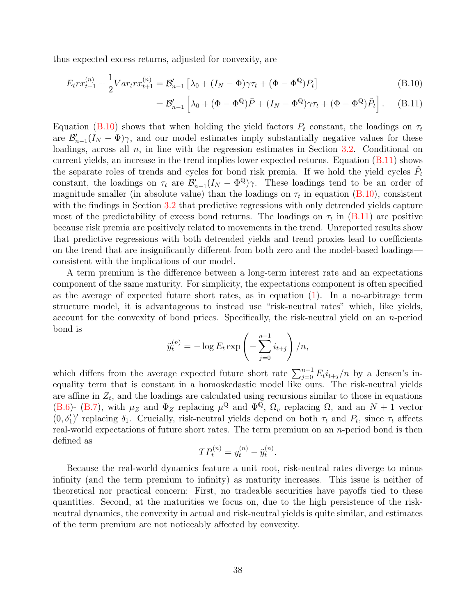thus expected excess returns, adjusted for convexity, are

$$
E_t r x_{t+1}^{(n)} + \frac{1}{2} Var_t r x_{t+1}^{(n)} = \mathcal{B}_{n-1}' \left[ \lambda_0 + (I_N - \Phi) \gamma \tau_t + (\Phi - \Phi^{\mathbb{Q}}) P_t \right]
$$
(B.10)

<span id="page-39-1"></span><span id="page-39-0"></span>
$$
= \mathcal{B}_{n-1}' \left[ \lambda_0 + (\Phi - \Phi^{\mathbb{Q}}) \bar{P} + (I_N - \Phi^{\mathbb{Q}}) \gamma \tau_t + (\Phi - \Phi^{\mathbb{Q}}) \tilde{P}_t \right]. \tag{B.11}
$$

Equation [\(B.10\)](#page-39-0) shows that when holding the yield factors  $P_t$  constant, the loadings on  $\tau_t$ are  $\mathcal{B}_{n-1}'(I_N - \Phi)\gamma$ , and our model estimates imply substantially negative values for these loadings, across all  $n$ , in line with the regression estimates in Section [3.2.](#page-12-2) Conditional on current yields, an increase in the trend implies lower expected returns. Equation  $(B.11)$  shows the separate roles of trends and cycles for bond risk premia. If we hold the yield cycles  $\tilde{P}_t$ constant, the loadings on  $\tau_t$  are  $\mathcal{B}_{n-1}'(I_N - \Phi^{\mathbb{Q}})\gamma$ . These loadings tend to be an order of magnitude smaller (in absolute value) than the loadings on  $\tau_t$  in equation [\(B.10\)](#page-39-0), consistent with the findings in Section [3.2](#page-12-2) that predictive regressions with only detrended yields capture most of the predictability of excess bond returns. The loadings on  $\tau_t$  in [\(B.11\)](#page-39-1) are positive because risk premia are positively related to movements in the trend. Unreported results show that predictive regressions with both detrended yields and trend proxies lead to coefficients on the trend that are insignificantly different from both zero and the model-based loadings consistent with the implications of our model.

A term premium is the difference between a long-term interest rate and an expectations component of the same maturity. For simplicity, the expectations component is often specified as the average of expected future short rates, as in equation [\(1\)](#page-7-2). In a no-arbitrage term structure model, it is advantageous to instead use "risk-neutral rates" which, like yields, account for the convexity of bond prices. Specifically, the risk-neutral yield on an n-period bond is

$$
\tilde{y}_t^{(n)} = -\log E_t \exp\left(-\sum_{j=0}^{n-1} i_{t+j}\right)/n,
$$

which differs from the average expected future short rate  $\sum_{j=0}^{n-1} E_t i_{t+j}/n$  by a Jensen's inequality term that is constant in a homoskedastic model like ours. The risk-neutral yields are affine in  $Z_t$ , and the loadings are calculated using recursions similar to those in equations [\(B.6\)](#page-38-0)- [\(B.7\)](#page-38-1), with  $\mu_Z$  and  $\Phi_Z$  replacing  $\mu^{\mathbb{Q}}$  and  $\Phi^{\overline{\mathbb{Q}}}, \Omega_v$  replacing  $\Omega$ , and an  $N+1$  vector  $(0, \delta'_1)'$  replacing  $\delta_1$ . Crucially, risk-neutral yields depend on both  $\tau_t$  and  $P_t$ , since  $\tau_t$  affects real-world expectations of future short rates. The term premium on an n-period bond is then defined as

$$
TP_t^{(n)} = y_t^{(n)} - \tilde{y}_t^{(n)}.
$$

Because the real-world dynamics feature a unit root, risk-neutral rates diverge to minus infinity (and the term premium to infinity) as maturity increases. This issue is neither of theoretical nor practical concern: First, no tradeable securities have payoffs tied to these quantities. Second, at the maturities we focus on, due to the high persistence of the riskneutral dynamics, the convexity in actual and risk-neutral yields is quite similar, and estimates of the term premium are not noticeably affected by convexity.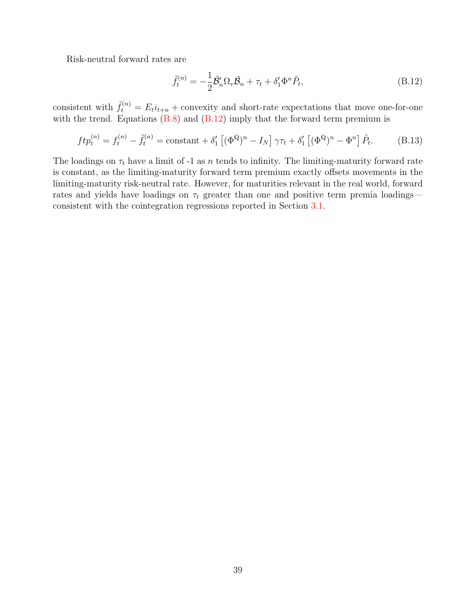Risk-neutral forward rates are

<span id="page-40-0"></span>
$$
\tilde{f}_t^{(n)} = -\frac{1}{2}\tilde{\mathcal{B}}_n' \Omega_v \tilde{\mathcal{B}}_n + \tau_t + \delta_1' \Phi^n \tilde{P}_t,\tag{B.12}
$$

consistent with  $\tilde{f}_t^{(n)} = E_t i_{t+n} +$  convexity and short-rate expectations that move one-for-one with the trend. Equations  $(B.8)$  and  $(B.12)$  imply that the forward term premium is

$$
ftp_t^{(n)} = f_t^{(n)} - \tilde{f}_t^{(n)} = \text{constant} + \delta_1' \left[ (\Phi^{\mathbb{Q}})^n - I_N \right] \gamma \tau_t + \delta_1' \left[ (\Phi^{\mathbb{Q}})^n - \Phi^n \right] \tilde{P}_t.
$$
 (B.13)

The loadings on  $\tau_t$  have a limit of -1 as n tends to infinity. The limiting-maturity forward rate is constant, as the limiting-maturity forward term premium exactly offsets movements in the limiting-maturity risk-neutral rate. However, for maturities relevant in the real world, forward rates and yields have loadings on  $\tau_t$  greater than one and positive term premia loadings consistent with the cointegration regressions reported in Section [3.1.](#page-10-3)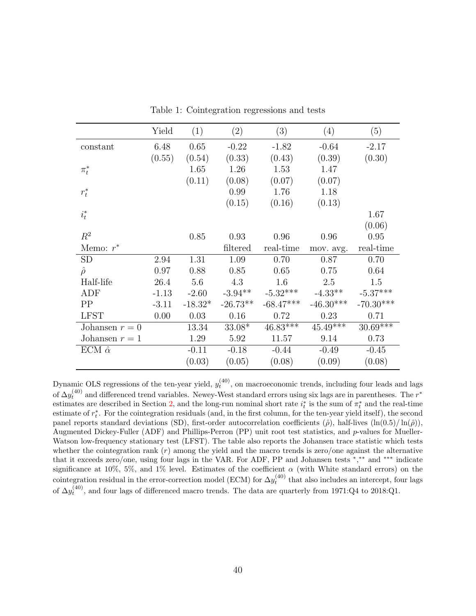|                    | Yield   | (1)       | (2)        | (3)         | (4)         | (5)         |
|--------------------|---------|-----------|------------|-------------|-------------|-------------|
| constant           | 6.48    | 0.65      | $-0.22$    | $-1.82$     | $-0.64$     | $-2.17$     |
|                    | (0.55)  | (0.54)    | (0.33)     | (0.43)      | (0.39)      | (0.30)      |
| $\pi_t^*$          |         | 1.65      | 1.26       | 1.53        | 1.47        |             |
|                    |         | (0.11)    | (0.08)     | (0.07)      | (0.07)      |             |
| $r_t^*$            |         |           | 0.99       | 1.76        | 1.18        |             |
|                    |         |           | (0.15)     | (0.16)      | (0.13)      |             |
| $i_t^\ast$         |         |           |            |             |             | 1.67        |
|                    |         |           |            |             |             | (0.06)      |
| $R^2$              |         | 0.85      | 0.93       | 0.96        | 0.96        | 0.95        |
| Memo: $r^*$        |         |           | filtered   | real-time   | mov. avg.   | real-time   |
| <b>SD</b>          | 2.94    | 1.31      | 1.09       | 0.70        | 0.87        | 0.70        |
| $\hat{\rho}$       | 0.97    | 0.88      | 0.85       | 0.65        | 0.75        | 0.64        |
| Half-life          | 26.4    | 5.6       | 4.3        | 1.6         | 2.5         | 1.5         |
| ADF                | $-1.13$ | $-2.60$   | $-3.94**$  | $-5.32***$  | $-4.33**$   | $-5.37***$  |
| PP                 | $-3.11$ | $-18.32*$ | $-26.73**$ | $-68.47***$ | $-46.30***$ | $-70.30***$ |
| <b>LFST</b>        | 0.00    | 0.03      | 0.16       | 0.72        | 0.23        | 0.71        |
| Johansen $r = 0$   |         | 13.34     | $33.08*$   | $46.83***$  | $45.49***$  | $30.69***$  |
| Johansen $r = 1$   |         | 1.29      | 5.92       | 11.57       | 9.14        | 0.73        |
| ECM $\hat{\alpha}$ |         | $-0.11$   | $-0.18$    | $-0.44$     | $-0.49$     | $-0.45$     |
|                    |         | (0.03)    | (0.05)     | (0.08)      | (0.09)      | (0.08)      |

<span id="page-41-0"></span>Table 1: Cointegration regressions and tests

Dynamic OLS regressions of the ten-year yield,  $y_t^{(40)}$ , on macroeconomic trends, including four leads and lags of  $\Delta y_t^{(40)}$  and differenced trend variables. Newey-West standard errors using six lags are in parentheses. The  $r^*$ estimates are described in Section [2,](#page-7-0) and the long-run nominal short rate  $i_t^*$  is the sum of  $\pi_t^*$  and the real-time estimate of  $r_t^*$ . For the cointegration residuals (and, in the first column, for the ten-year yield itself), the second panel reports standard deviations (SD), first-order autocorrelation coefficients  $(\hat{\rho})$ , half-lives  $(\ln(0.5)/\ln(\hat{\rho}))$ , Augmented Dickey-Fuller (ADF) and Phillips-Perron (PP) unit root test statistics, and p-values for Mueller-Watson low-frequency stationary test (LFST). The table also reports the Johansen trace statistic which tests whether the cointegration rank  $(r)$  among the yield and the macro trends is zero/one against the alternative that it exceeds zero/one, using four lags in the VAR. For ADF, PP and Johansen tests <sup>∗</sup> , ∗∗ and ∗∗∗ indicate significance at 10%, 5%, and 1% level. Estimates of the coefficient  $\alpha$  (with White standard errors) on the cointegration residual in the error-correction model (ECM) for  $\Delta y_t^{(40)}$  that also includes an intercept, four lags of  $\Delta y_t^{(40)}$ , and four lags of differenced macro trends. The data are quarterly from 1971:Q4 to 2018:Q1.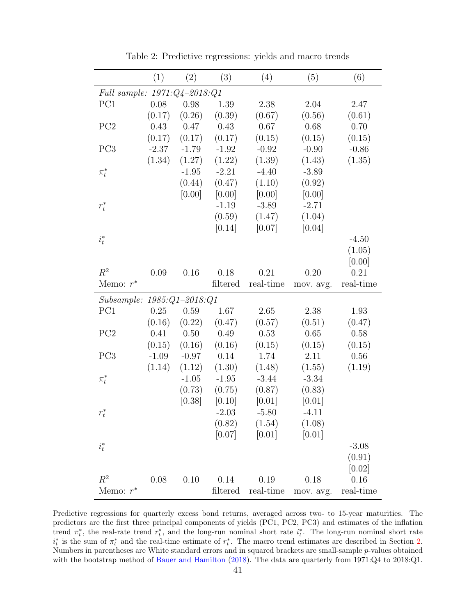|                                | (1)     | (2)      | (3)      | (4)               | (5)       | (6)       |  |
|--------------------------------|---------|----------|----------|-------------------|-----------|-----------|--|
| Full sample: 1971:Q4-2018:Q1   |         |          |          |                   |           |           |  |
| PC1                            | 0.08    | 0.98     | 1.39     | 2.38              | 2.04      | 2.47      |  |
|                                | (0.17)  | (0.26)   | (0.39)   | (0.67)            | (0.56)    | (0.61)    |  |
| PC <sub>2</sub>                | 0.43    | 0.47     | 0.43     | 0.67              | 0.68      | 0.70      |  |
|                                | (0.17)  | (0.17)   | (0.17)   | (0.15)            | (0.15)    | (0.15)    |  |
| PC <sub>3</sub>                | $-2.37$ | $-1.79$  | $-1.92$  | $-0.92$           | $-0.90$   | $-0.86$   |  |
|                                | (1.34)  | (1.27)   | (1.22)   | (1.39)            | (1.43)    | (1.35)    |  |
| $\pi^*_t$                      |         | $-1.95$  | $-2.21$  | $-4.40$           | $-3.89$   |           |  |
|                                |         | (0.44)   | (0.47)   | (1.10)            | (0.92)    |           |  |
|                                |         | [0.00]   | [0.00]   | [0.00]            | [0.00]    |           |  |
| $r_t^*$                        |         |          | $-1.19$  | $-3.89$           | $-2.71$   |           |  |
|                                |         |          | (0.59)   | (1.47)            | (1.04)    |           |  |
|                                |         |          | [0.14]   | [0.07]            | [0.04]    |           |  |
| $i_t^*$                        |         |          |          |                   |           | $-4.50$   |  |
|                                |         |          |          |                   |           | (1.05)    |  |
|                                |         |          |          |                   |           | [0.00]    |  |
| $R^2$                          | 0.09    | 0.16     | 0.18     | 0.21              | 0.20      | 0.21      |  |
| Memo: $r^*$                    |         |          | filtered | real-time         | mov. avg. | real-time |  |
| $Subsample: 1985:Q1 - 2018:Q1$ |         |          |          |                   |           |           |  |
| PC1                            | 0.25    | 0.59     | 1.67     | 2.65              | 2.38      | 1.93      |  |
|                                | (0.16)  | (0.22)   | (0.47)   | (0.57)            | (0.51)    | (0.47)    |  |
| PC2                            | 0.41    | $0.50\,$ | 0.49     | 0.53              | 0.65      | 0.58      |  |
|                                | (0.15)  | (0.16)   | (0.16)   | (0.15)            | (0.15)    | (0.15)    |  |
| PC <sub>3</sub>                | $-1.09$ | $-0.97$  | 0.14     | 1.74              | 2.11      | 0.56      |  |
|                                | (1.14)  | (1.12)   | (1.30)   | (1.48)            | (1.55)    | (1.19)    |  |
| $\pi^*_t$                      |         | $-1.05$  | $-1.95$  | $-3.44$           | $-3.34$   |           |  |
|                                |         | (0.73)   | (0.75)   | (0.87)            | (0.83)    |           |  |
|                                |         | [0.38]   | $[0.10]$ | [0.01]            | [0.01]    |           |  |
| $r_t^*$                        |         |          | $-2.03$  | $-5.80$           | $-4.11$   |           |  |
|                                |         |          |          | $(0.82)$ $(1.54)$ | (1.08)    |           |  |
|                                |         |          |          | $[0.07]$ $[0.01]$ | [0.01]    |           |  |
| $i_t^*$                        |         |          |          |                   |           | $-3.08$   |  |
|                                |         |          |          |                   |           | (0.91)    |  |
|                                |         |          |          |                   |           | $[0.02]$  |  |
| $R^2$                          | 0.08    | 0.10     | 0.14     | 0.19              | 0.18      | 0.16      |  |
| Memo: $r^*$                    |         |          | filtered | real-time         | mov. avg. | real-time |  |

<span id="page-42-0"></span>Table 2: Predictive regressions: yields and macro trends

Predictive regressions for quarterly excess bond returns, averaged across two- to 15-year maturities. The predictors are the first three principal components of yields (PC1, PC2, PC3) and estimates of the inflation trend  $\pi_t^*$ , the real-rate trend  $r_t^*$ , and the long-run nominal short rate  $i_t^*$ . The long-run nominal short rate  $i_t^*$  is the sum of  $\pi_t^*$  and the real-time estimate of  $r_t^*$ . The macro trend estimates are described in Section [2.](#page-7-0) Numbers in parentheses are White standard errors and in squared brackets are small-sample p-values obtained with the bootstrap method of [Bauer and Hamilton](#page-29-3) [\(2018\)](#page-29-3). The data are quarterly from 1971:Q4 to 2018:Q1.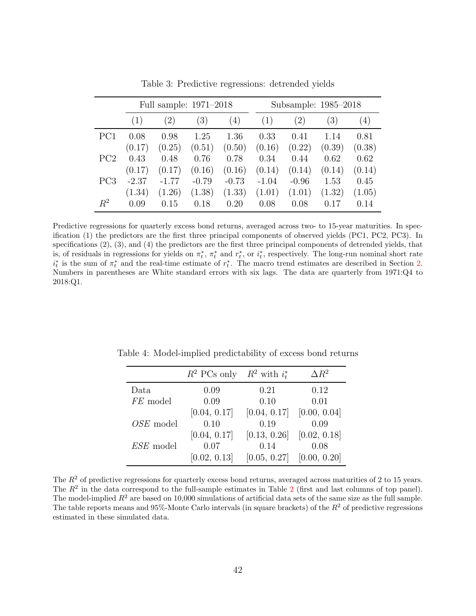|                 |         | Full sample: 1971–2018 |                   |         |         | Subsample: 1985–2018 |        |        |  |
|-----------------|---------|------------------------|-------------------|---------|---------|----------------------|--------|--------|--|
|                 | (1)     | (2)                    | $\left( 3\right)$ | (4)     | (1)     | $\left( 2\right)$    | (3)    | (4)    |  |
| PC1             | 0.08    | 0.98                   | 1.25              | 1.36    | 0.33    | 0.41                 | 1.14   | 0.81   |  |
|                 | (0.17)  | (0.25)                 | (0.51)            | (0.50)  | (0.16)  | (0.22)               | (0.39) | (0.38) |  |
| PC <sub>2</sub> | 0.43    | 0.48                   | 0.76              | 0.78    | 0.34    | 0.44                 | 0.62   | 0.62   |  |
|                 | (0.17)  | (0.17)                 | (0.16)            | (0.16)  | (0.14)  | (0.14)               | (0.14) | (0.14) |  |
| PC <sub>3</sub> | $-2.37$ | $-1.77$                | $-0.79$           | $-0.73$ | $-1.04$ | $-0.96$              | 1.53   | 0.45   |  |
|                 | (1.34)  | (1.26)                 | (1.38)            | (1.33)  | (1.01)  | (1.01)               | (1.32) | (1.05) |  |
| $R^2$           | 0.09    | 0.15                   | 0.18              | 0.20    | 0.08    | 0.08                 | 0.17   | 0.14   |  |

<span id="page-43-0"></span>Table 3: Predictive regressions: detrended yields

Predictive regressions for quarterly excess bond returns, averaged across two- to 15-year maturities. In specification (1) the predictors are the first three principal components of observed yields (PC1, PC2, PC3). In specifications (2), (3), and (4) the predictors are the first three principal components of detrended yields, that is, of residuals in regressions for yields on  $\pi_t^*$ ,  $\pi_t^*$  and  $r_t^*$ , or  $i_t^*$ , respectively. The long-run nominal short rate  $i_t^*$  is the sum of  $\pi_t^*$  and the real-time estimate of  $r_t^*$ . The macro trend estimates are described in Section [2.](#page-7-0) Numbers in parentheses are White standard errors with six lags. The data are quarterly from 1971:Q4 to 2018:Q1.

<span id="page-43-1"></span>

|                  | $R^2$ PCs only $R^2$ with $i_t^*$ |              | $\Delta R^2$ |
|------------------|-----------------------------------|--------------|--------------|
| Data             | 0.09                              | 0.21         | 0.12         |
| FE model         | 0.09                              | 0.10         | 0.01         |
|                  | [0.04, 0.17]                      | [0.04, 0.17] | [0.00, 0.04] |
| OSE model        | 0.10                              | 0.19         | 0.09         |
|                  | [0.04, 0.17]                      | [0.13, 0.26] | [0.02, 0.18] |
| <i>ESE</i> model | 0.07                              | 0.14         | 0.08         |
|                  | [0.02, 0.13]                      | [0.05, 0.27] | [0.00, 0.20] |

Table 4: Model-implied predictability of excess bond returns

The  $R<sup>2</sup>$  of predictive regressions for quarterly excess bond returns, averaged across maturities of 2 to 15 years. The  $R^2$  $R^2$  in the data correspond to the full-sample estimates in Table 2 (first and last columns of top panel). The model-implied  $R^2$  are based on 10,000 simulations of artificial data sets of the same size as the full sample. The table reports means and  $95\%$ -Monte Carlo intervals (in square brackets) of the  $R^2$  of predictive regressions estimated in these simulated data.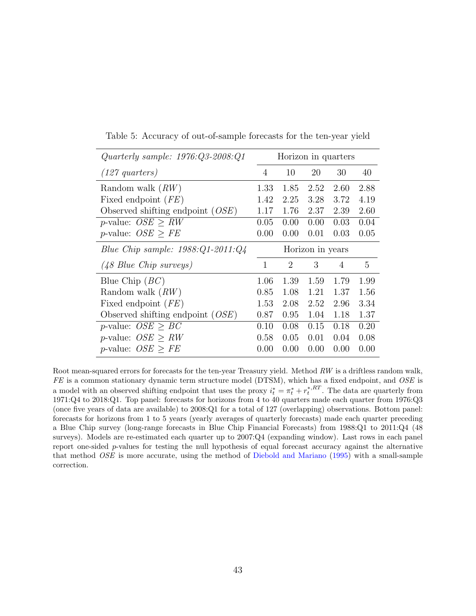| Quarterly sample: $1976:Q3-2008:Q1$<br>Horizon in quarters |                |                  |      |      |      |  |
|------------------------------------------------------------|----------------|------------------|------|------|------|--|
| $(127 \; quarters)$                                        | $\overline{4}$ | 10               | 20   | 30   | 40   |  |
| Random walk $(RW)$                                         | 1.33           | 1.85             | 2.52 | 2.60 | 2.88 |  |
| Fixed endpoint $(FE)$                                      | 1.42           | 2.25             | 3.28 | 3.72 | 4.19 |  |
| Observed shifting endpoint $(OSE)$                         | 1.17           | 1.76             | 2.37 | 2.39 | 2.60 |  |
| <i>p</i> -value: $OSE \geq RW$                             | 0.05           | 0.00             | 0.00 | 0.03 | 0.04 |  |
| <i>p</i> -value: $OSE > FE$                                | 0.00           | 0.00             | 0.01 | 0.03 | 0.05 |  |
| Blue Chip sample: $1988:Q1-2011:Q4$                        |                | Horizon in years |      |      |      |  |
| (48 Blue Chip surveys)                                     | 1              | $\overline{2}$   | 3    | 4    | 5    |  |
| Blue Chip $(BC)$                                           | 1.06           | 1.39             | 1.59 | 1.79 | 1.99 |  |
| Random walk $(RW)$                                         | 0.85           | 1.08             | 1.21 | 1.37 | 1.56 |  |
| Fixed endpoint $(FE)$                                      | 1.53           | 2.08             | 2.52 | 2.96 | 3.34 |  |
| Observed shifting endpoint $(OSE)$                         | 0.87           | 0.95             | 1.04 | 1.18 | 1.37 |  |
| <i>p</i> -value: $OSE > BC$                                | 0.10           | 0.08             | 0.15 | 0.18 | 0.20 |  |
| <i>p</i> -value: $OSE > RW$                                | 0.58           | 0.05             | 0.01 | 0.04 | 0.08 |  |
| <i>p</i> -value: $OSE > FE$                                | 0.00           | 0.00             | 0.00 | 0.00 | 0.00 |  |

<span id="page-44-0"></span>Table 5: Accuracy of out-of-sample forecasts for the ten-year yield

Root mean-squared errors for forecasts for the ten-year Treasury yield. Method RW is a driftless random walk,  $FE$  is a common stationary dynamic term structure model (DTSM), which has a fixed endpoint, and  $OSE$  is a model with an observed shifting endpoint that uses the proxy  $i_t^* = \pi_t^* + r_t^{*,RT}$ . The data are quarterly from 1971:Q4 to 2018:Q1. Top panel: forecasts for horizons from 4 to 40 quarters made each quarter from 1976:Q3 (once five years of data are available) to 2008:Q1 for a total of 127 (overlapping) observations. Bottom panel: forecasts for horizons from 1 to 5 years (yearly averages of quarterly forecasts) made each quarter preceding a Blue Chip survey (long-range forecasts in Blue Chip Financial Forecasts) from 1988:Q1 to 2011:Q4 (48 surveys). Models are re-estimated each quarter up to 2007:Q4 (expanding window). Last rows in each panel report one-sided p-values for testing the null hypothesis of equal forecast accuracy against the alternative that method OSE is more accurate, using the method of [Diebold and Mariano](#page-31-11) [\(1995\)](#page-31-11) with a small-sample correction.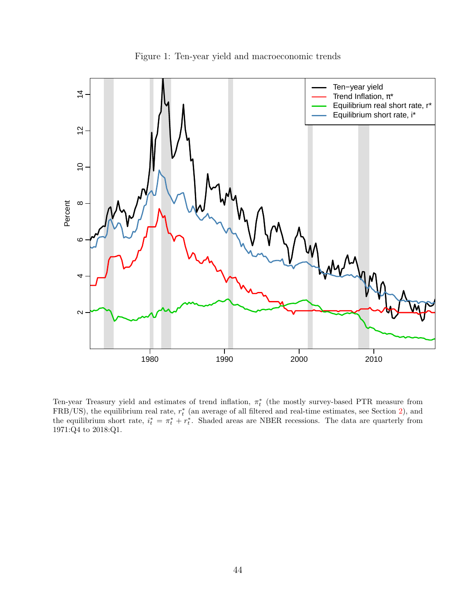

<span id="page-45-0"></span>Figure 1: Ten-year yield and macroeconomic trends

Ten-year Treasury yield and estimates of trend inflation,  $\pi_t^*$  (the mostly survey-based PTR measure from  $FRB/US$ ), the equilibrium real rate,  $r_t^*$  (an average of all filtered and real-time estimates, see Section [2\)](#page-7-0), and the equilibrium short rate,  $i_t^* = \pi_t^* + r_t^*$ . Shaded areas are NBER recessions. The data are quarterly from 1971:Q4 to 2018:Q1.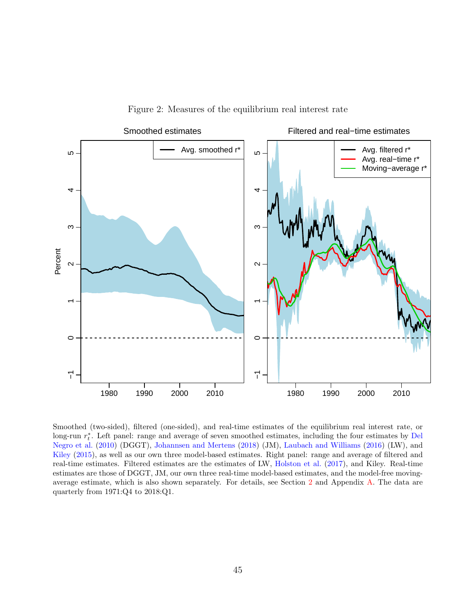<span id="page-46-0"></span>



Smoothed (two-sided), filtered (one-sided), and real-time estimates of the equilibrium real interest rate, or long-run  $r_t^*$ . Left panel: range and average of seven smoothed estimates, including the four estimates by [Del](#page-31-12) [Negro et al.](#page-31-12) [\(2010\)](#page-31-12) (DGGT), [Johannsen and Mertens](#page-33-5) [\(2018\)](#page-33-5) (JM), [Laubach and Williams](#page-34-1) [\(2016\)](#page-34-1) (LW), and [Kiley](#page-33-3) [\(2015\)](#page-33-3), as well as our own three model-based estimates. Right panel: range and average of filtered and real-time estimates. Filtered estimates are the estimates of LW, [Holston et al.](#page-32-2) [\(2017\)](#page-32-2), and Kiley. Real-time estimates are those of DGGT, JM, our own three real-time model-based estimates, and the model-free movingaverage estimate, which is also shown separately. For details, see Section [2](#page-7-0) and Appendix [A.](#page-36-0) The data are quarterly from 1971:Q4 to 2018:Q1.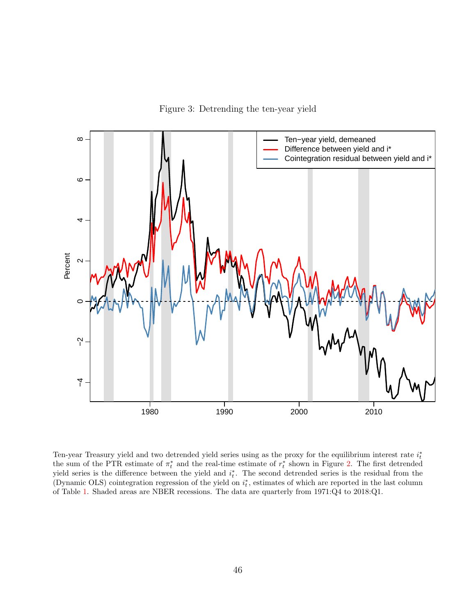<span id="page-47-0"></span>Figure 3: Detrending the ten-year yield



Ten-year Treasury yield and two detrended yield series using as the proxy for the equilibrium interest rate  $i_t^*$ the sum of the PTR estimate of  $\pi_t^*$  and the real-time estimate of  $r_t^*$  shown in Figure [2.](#page-46-0) The first detrended yield series is the difference between the yield and  $i_t^*$ . The second detrended series is the residual from the (Dynamic OLS) cointegration regression of the yield on  $i_t^*$ , estimates of which are reported in the last column of Table [1.](#page-41-0) Shaded areas are NBER recessions. The data are quarterly from 1971:Q4 to 2018:Q1.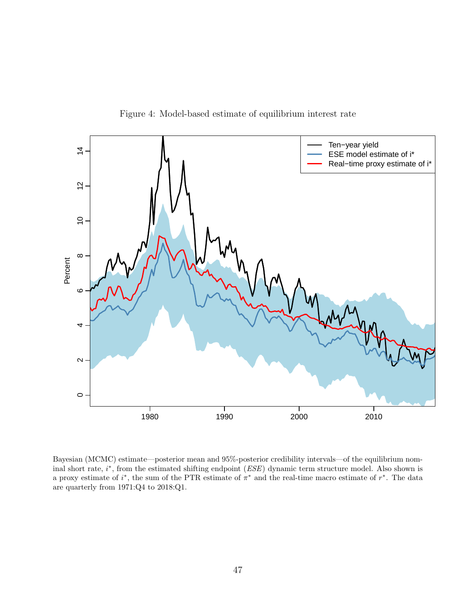

<span id="page-48-0"></span>Figure 4: Model-based estimate of equilibrium interest rate

Bayesian (MCMC) estimate—posterior mean and 95%-posterior credibility intervals—of the equilibrium nominal short rate,  $i^*$ , from the estimated shifting endpoint  $(ESE)$  dynamic term structure model. Also shown is a proxy estimate of  $i^*$ , the sum of the PTR estimate of  $\pi^*$  and the real-time macro estimate of  $r^*$ . The data are quarterly from 1971:Q4 to 2018:Q1.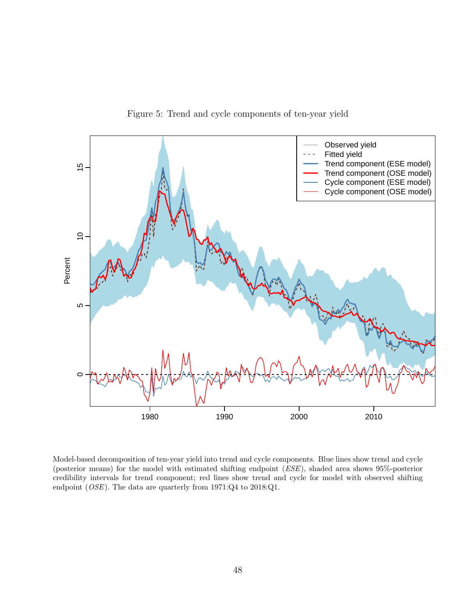

<span id="page-49-0"></span>Figure 5: Trend and cycle components of ten-year yield

Model-based decomposition of ten-year yield into trend and cycle components. Blue lines show trend and cycle (posterior means) for the model with estimated shifting endpoint (ESE), shaded area shows 95%-posterior credibility intervals for trend component; red lines show trend and cycle for model with observed shifting endpoint (OSE). The data are quarterly from 1971:Q4 to 2018:Q1.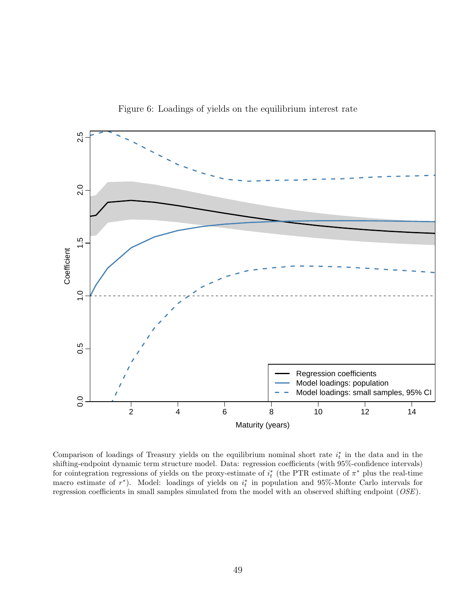

<span id="page-50-0"></span>Figure 6: Loadings of yields on the equilibrium interest rate

Comparison of loadings of Treasury yields on the equilibrium nominal short rate  $i_t^*$  in the data and in the shifting-endpoint dynamic term structure model. Data: regression coefficients (with 95%-confidence intervals) for cointegration regressions of yields on the proxy-estimate of  $i_t^*$  (the PTR estimate of  $\pi^*$  plus the real-time macro estimate of  $r^*$ ). Model: loadings of yields on  $i_t^*$  in population and 95%-Monte Carlo intervals for regression coefficients in small samples simulated from the model with an observed shifting endpoint (OSE).